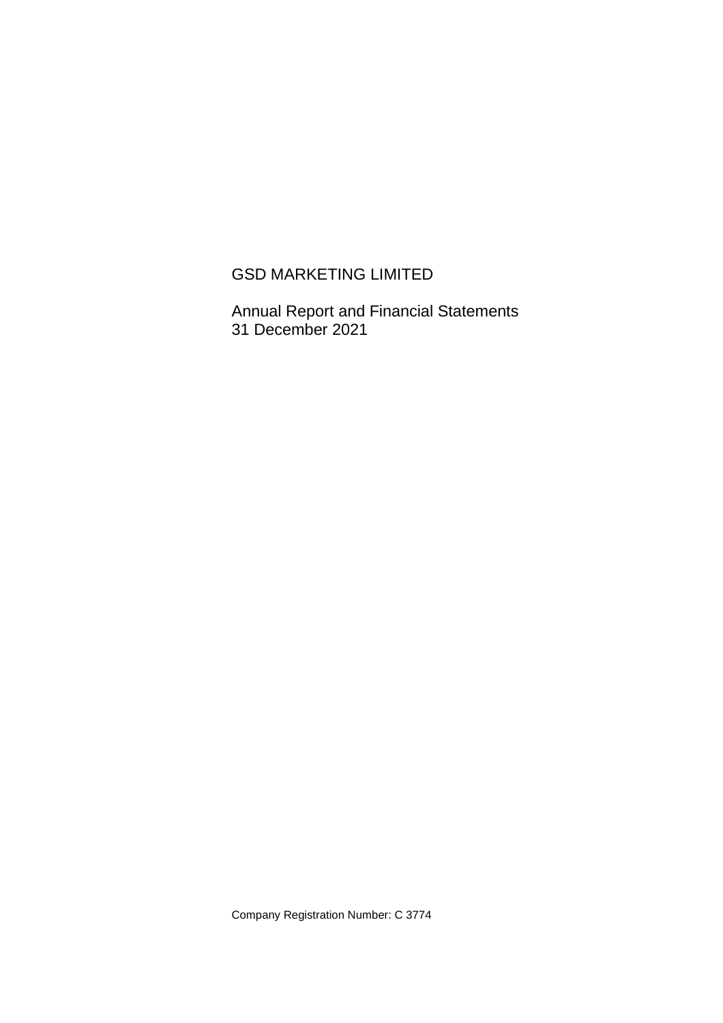# GSD MARKETING LIMITED

Annual Report and Financial Statements 31 December 2021

Company Registration Number: C 3774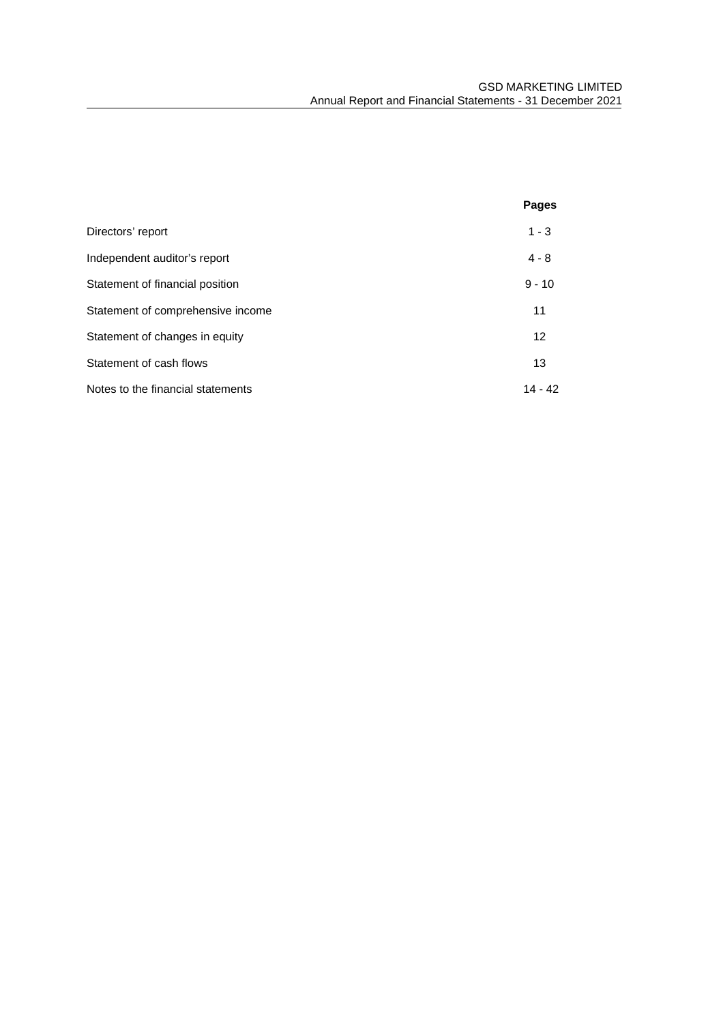|                                   | Pages     |
|-----------------------------------|-----------|
| Directors' report                 | $1 - 3$   |
| Independent auditor's report      | $4 - 8$   |
| Statement of financial position   | $9 - 10$  |
| Statement of comprehensive income | 11        |
| Statement of changes in equity    | 12        |
| Statement of cash flows           | 13        |
| Notes to the financial statements | $14 - 42$ |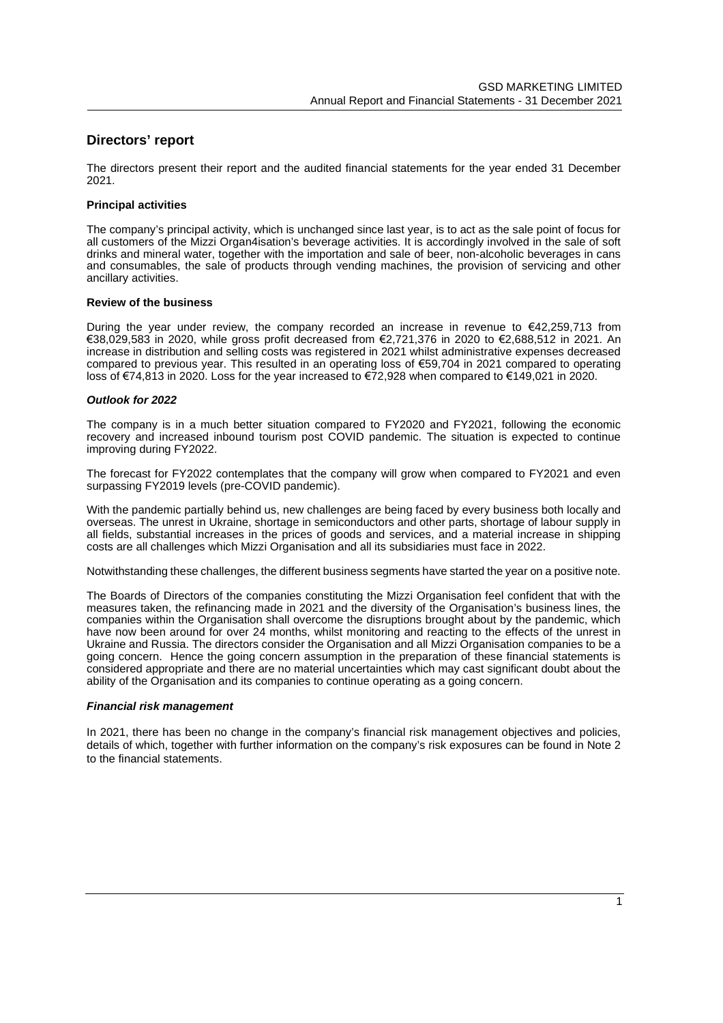# **Directors' report**

The directors present their report and the audited financial statements for the year ended 31 December 2021.

# **Principal activities**

The company's principal activity, which is unchanged since last year, is to act as the sale point of focus for all customers of the Mizzi Organ4isation's beverage activities. It is accordingly involved in the sale of soft drinks and mineral water, together with the importation and sale of beer, non-alcoholic beverages in cans and consumables, the sale of products through vending machines, the provision of servicing and other ancillary activities.

# **Review of the business**

During the year under review, the company recorded an increase in revenue to  $\epsilon$ 42,259,713 from €38,029,583 in 2020, while gross profit decreased from €2,721,376 in 2020 to €2,688,512 in 2021. An increase in distribution and selling costs was registered in 2021 whilst administrative expenses decreased compared to previous year. This resulted in an operating loss of €59,704 in 2021 compared to operating loss of €74,813 in 2020. Loss for the year increased to €72,928 when compared to €149,021 in 2020.

# *Outlook for 2022*

The company is in a much better situation compared to FY2020 and FY2021, following the economic recovery and increased inbound tourism post COVID pandemic. The situation is expected to continue improving during FY2022.

The forecast for FY2022 contemplates that the company will grow when compared to FY2021 and even surpassing FY2019 levels (pre-COVID pandemic).

With the pandemic partially behind us, new challenges are being faced by every business both locally and overseas. The unrest in Ukraine, shortage in semiconductors and other parts, shortage of labour supply in all fields, substantial increases in the prices of goods and services, and a material increase in shipping costs are all challenges which Mizzi Organisation and all its subsidiaries must face in 2022.

Notwithstanding these challenges, the different business segments have started the year on a positive note.

The Boards of Directors of the companies constituting the Mizzi Organisation feel confident that with the measures taken, the refinancing made in 2021 and the diversity of the Organisation's business lines, the companies within the Organisation shall overcome the disruptions brought about by the pandemic, which have now been around for over 24 months, whilst monitoring and reacting to the effects of the unrest in Ukraine and Russia. The directors consider the Organisation and all Mizzi Organisation companies to be a going concern. Hence the going concern assumption in the preparation of these financial statements is considered appropriate and there are no material uncertainties which may cast significant doubt about the ability of the Organisation and its companies to continue operating as a going concern.

#### *Financial risk management*

In 2021, there has been no change in the company's financial risk management objectives and policies, details of which, together with further information on the company's risk exposures can be found in Note 2 to the financial statements.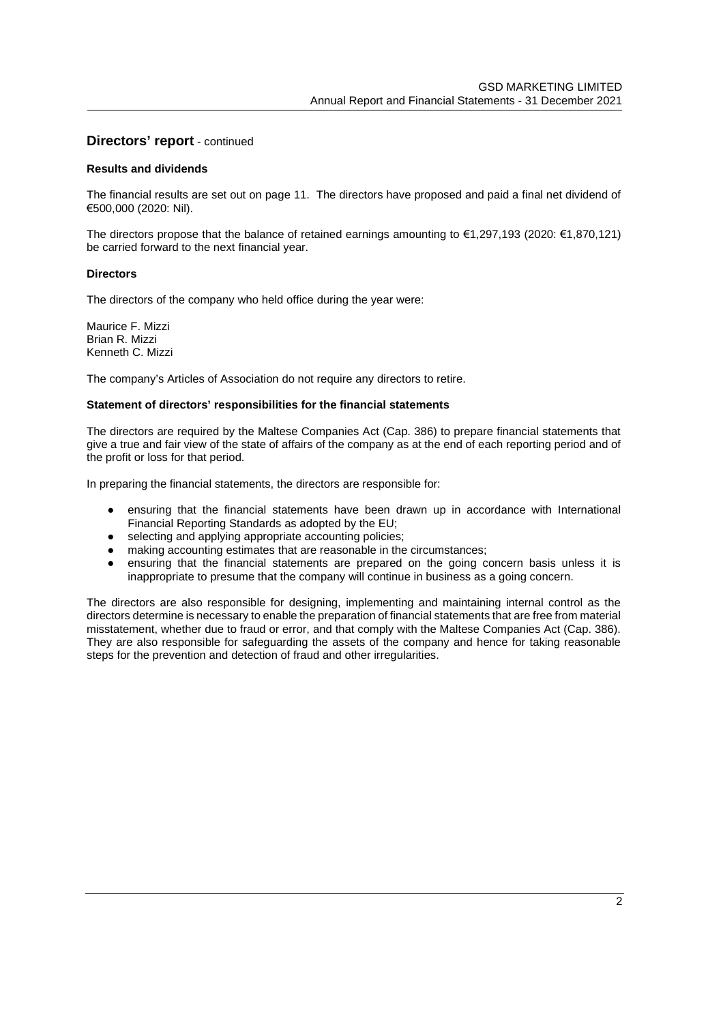# **Directors' report** - continued

# **Results and dividends**

The financial results are set out on page 11. The directors have proposed and paid a final net dividend of €500,000 (2020: Nil).

The directors propose that the balance of retained earnings amounting to €1,297,193 (2020: €1,870,121) be carried forward to the next financial year.

## **Directors**

The directors of the company who held office during the year were:

Maurice F. Mizzi Brian R. Mizzi Kenneth C. Mizzi

The company's Articles of Association do not require any directors to retire.

# **Statement of directors' responsibilities for the financial statements**

The directors are required by the Maltese Companies Act (Cap. 386) to prepare financial statements that give a true and fair view of the state of affairs of the company as at the end of each reporting period and of the profit or loss for that period.

In preparing the financial statements, the directors are responsible for:

- ensuring that the financial statements have been drawn up in accordance with International Financial Reporting Standards as adopted by the EU;
- selecting and applying appropriate accounting policies;
- making accounting estimates that are reasonable in the circumstances;
- ensuring that the financial statements are prepared on the going concern basis unless it is inappropriate to presume that the company will continue in business as a going concern.

The directors are also responsible for designing, implementing and maintaining internal control as the directors determine is necessary to enable the preparation of financial statements that are free from material misstatement, whether due to fraud or error, and that comply with the Maltese Companies Act (Cap. 386). They are also responsible for safeguarding the assets of the company and hence for taking reasonable steps for the prevention and detection of fraud and other irregularities.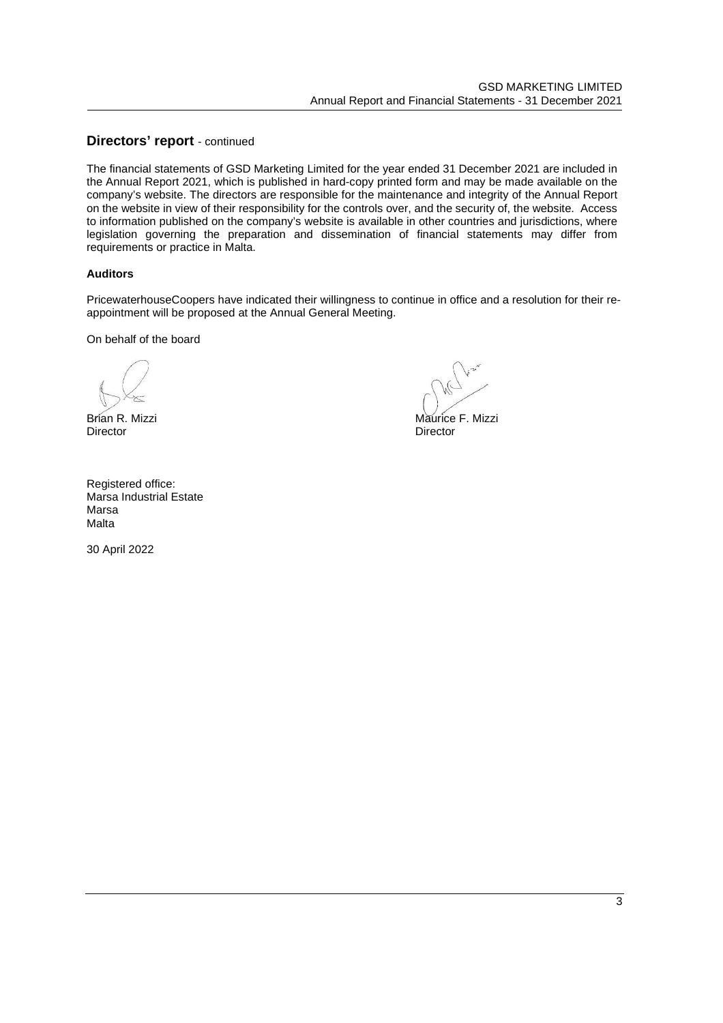# **Directors' report** - continued

The financial statements of GSD Marketing Limited for the year ended 31 December 2021 are included in the Annual Report 2021, which is published in hard-copy printed form and may be made available on the company's website. The directors are responsible for the maintenance and integrity of the Annual Report on the website in view of their responsibility for the controls over, and the security of, the website. Access to information published on the company's website is available in other countries and jurisdictions, where legislation governing the preparation and dissemination of financial statements may differ from requirements or practice in Malta.

# **Auditors**

PricewaterhouseCoopers have indicated their willingness to continue in office and a resolution for their reappointment will be proposed at the Annual General Meeting.

On behalf of the board

Brian R. Mizzi **Maurice F. Mizzi** Maurice F. Mizzi **Maurice F. Mizzi** Maurice F. Mizzi

Director

Registered office: Marsa Industrial Estate Marsa Malta

30 April 2022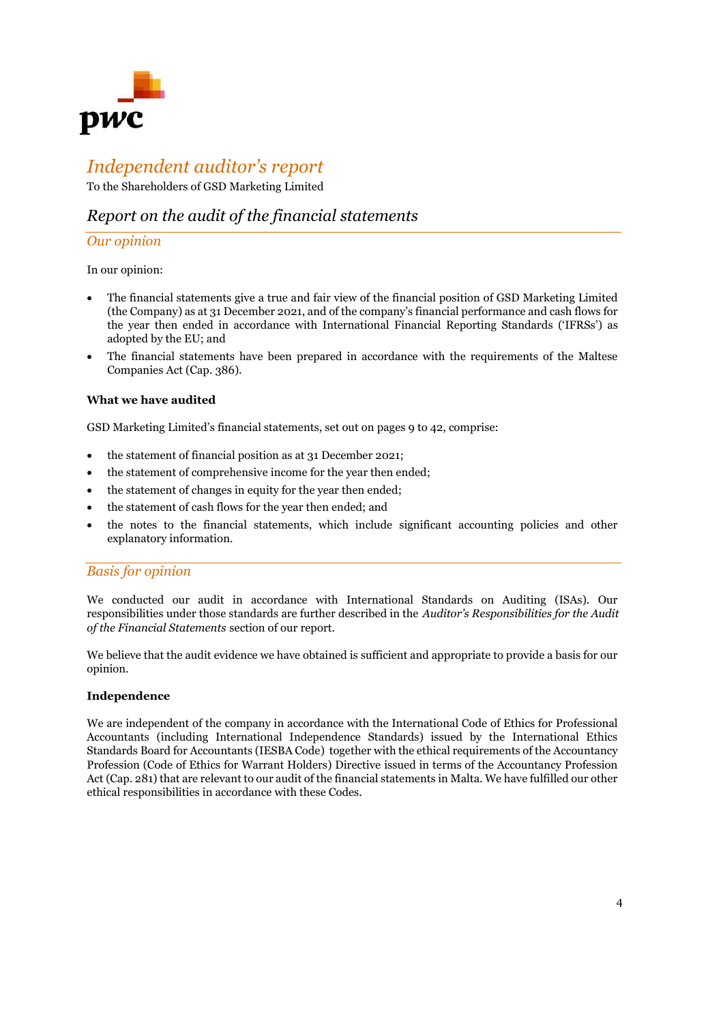

# *Independent auditor's report*

To the Shareholders of GSD Marketing Limited

# *Report on the audit of the financial statements*

# *Our opinion*

In our opinion:

- The financial statements give a true and fair view of the financial position of GSD Marketing Limited (the Company) as at 31 December 2021, and of the company's financial performance and cash flows for the year then ended in accordance with International Financial Reporting Standards ('IFRSs') as adopted by the EU; and
- The financial statements have been prepared in accordance with the requirements of the Maltese Companies Act (Cap. 386).

# **What we have audited**

GSD Marketing Limited's financial statements, set out on pages 9 to 42, comprise:

- the statement of financial position as at 31 December 2021;
- the statement of comprehensive income for the year then ended;
- the statement of changes in equity for the year then ended;
- the statement of cash flows for the year then ended; and
- the notes to the financial statements, which include significant accounting policies and other explanatory information.

# *Basis for opinion*

We conducted our audit in accordance with International Standards on Auditing (ISAs). Our responsibilities under those standards are further described in the *Auditor's Responsibilities for the Audit of the Financial Statements* section of our report.

We believe that the audit evidence we have obtained is sufficient and appropriate to provide a basis for our opinion.

# **Independence**

We are independent of the company in accordance with the International Code of Ethics for Professional Accountants (including International Independence Standards) issued by the International Ethics Standards Board for Accountants (IESBA Code) together with the ethical requirements of the Accountancy Profession (Code of Ethics for Warrant Holders) Directive issued in terms of the Accountancy Profession Act (Cap. 281) that are relevant to our audit of the financial statements in Malta. We have fulfilled our other ethical responsibilities in accordance with these Codes.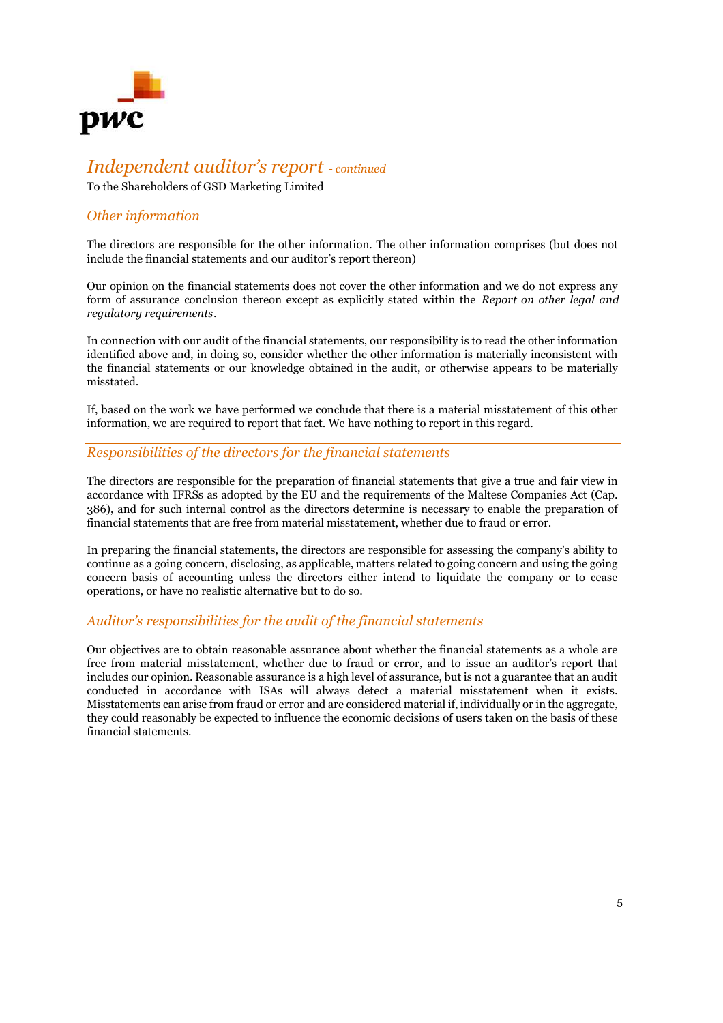

To the Shareholders of GSD Marketing Limited

# *Other information*

The directors are responsible for the other information. The other information comprises (but does not include the financial statements and our auditor's report thereon)

Our opinion on the financial statements does not cover the other information and we do not express any form of assurance conclusion thereon except as explicitly stated within the *Report on other legal and regulatory requirements*.

In connection with our audit of the financial statements, our responsibility is to read the other information identified above and, in doing so, consider whether the other information is materially inconsistent with the financial statements or our knowledge obtained in the audit, or otherwise appears to be materially misstated.

If, based on the work we have performed we conclude that there is a material misstatement of this other information, we are required to report that fact. We have nothing to report in this regard.

# *Responsibilities of the directors for the financial statements*

The directors are responsible for the preparation of financial statements that give a true and fair view in accordance with IFRSs as adopted by the EU and the requirements of the Maltese Companies Act (Cap. 386), and for such internal control as the directors determine is necessary to enable the preparation of financial statements that are free from material misstatement, whether due to fraud or error.

In preparing the financial statements, the directors are responsible for assessing the company's ability to continue as a going concern, disclosing, as applicable, matters related to going concern and using the going concern basis of accounting unless the directors either intend to liquidate the company or to cease operations, or have no realistic alternative but to do so.

# *Auditor's responsibilities for the audit of the financial statements*

Our objectives are to obtain reasonable assurance about whether the financial statements as a whole are free from material misstatement, whether due to fraud or error, and to issue an auditor's report that includes our opinion. Reasonable assurance is a high level of assurance, but is not a guarantee that an audit conducted in accordance with ISAs will always detect a material misstatement when it exists. Misstatements can arise from fraud or error and are considered material if, individually or in the aggregate, they could reasonably be expected to influence the economic decisions of users taken on the basis of these financial statements.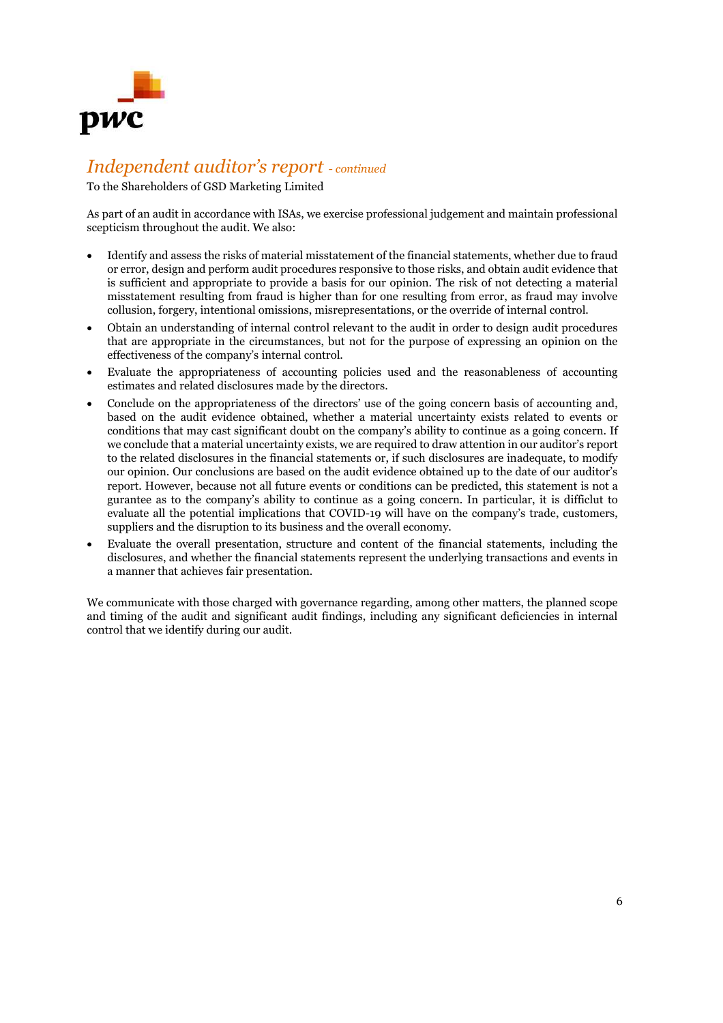

To the Shareholders of GSD Marketing Limited

As part of an audit in accordance with ISAs, we exercise professional judgement and maintain professional scepticism throughout the audit. We also:

- Identify and assess the risks of material misstatement of the financial statements, whether due to fraud or error, design and perform audit procedures responsive to those risks, and obtain audit evidence that is sufficient and appropriate to provide a basis for our opinion. The risk of not detecting a material misstatement resulting from fraud is higher than for one resulting from error, as fraud may involve collusion, forgery, intentional omissions, misrepresentations, or the override of internal control.
- Obtain an understanding of internal control relevant to the audit in order to design audit procedures that are appropriate in the circumstances, but not for the purpose of expressing an opinion on the effectiveness of the company's internal control.
- Evaluate the appropriateness of accounting policies used and the reasonableness of accounting estimates and related disclosures made by the directors.
- Conclude on the appropriateness of the directors' use of the going concern basis of accounting and, based on the audit evidence obtained, whether a material uncertainty exists related to events or conditions that may cast significant doubt on the company's ability to continue as a going concern. If we conclude that a material uncertainty exists, we are required to draw attention in our auditor's report to the related disclosures in the financial statements or, if such disclosures are inadequate, to modify our opinion. Our conclusions are based on the audit evidence obtained up to the date of our auditor's report. However, because not all future events or conditions can be predicted, this statement is not a gurantee as to the company's ability to continue as a going concern. In particular, it is difficlut to evaluate all the potential implications that COVID-19 will have on the company's trade, customers, suppliers and the disruption to its business and the overall economy.
- Evaluate the overall presentation, structure and content of the financial statements, including the disclosures, and whether the financial statements represent the underlying transactions and events in a manner that achieves fair presentation.

We communicate with those charged with governance regarding, among other matters, the planned scope and timing of the audit and significant audit findings, including any significant deficiencies in internal control that we identify during our audit.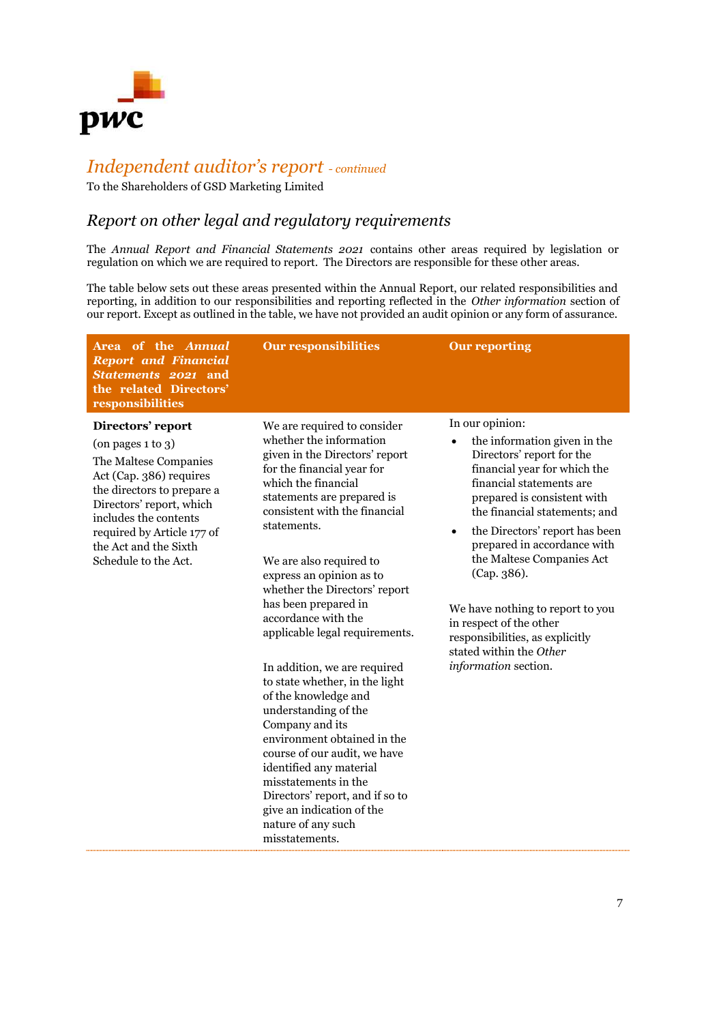

To the Shareholders of GSD Marketing Limited

# *Report on other legal and regulatory requirements*

The *Annual Report and Financial Statements 2021* contains other areas required by legislation or regulation on which we are required to report. The Directors are responsible for these other areas.

The table below sets out these areas presented within the Annual Report, our related responsibilities and reporting, in addition to our responsibilities and reporting reflected in the *Other information* section of our report. Except as outlined in the table, we have not provided an audit opinion or any form of assurance.

| Area of the Annual<br><b>Report and Financial</b><br>Statements 2021 and<br>the related Directors'<br>responsibilities                                                                                                                                             | <b>Our responsibilities</b>                                                                                                                                                                                                                                                                                                                                                                                                                                                                                                                                                                                                                                                                                                                                         | <b>Our reporting</b>                                                                                                                                                                                                                                                                                                                                                                                                                                                                    |
|--------------------------------------------------------------------------------------------------------------------------------------------------------------------------------------------------------------------------------------------------------------------|---------------------------------------------------------------------------------------------------------------------------------------------------------------------------------------------------------------------------------------------------------------------------------------------------------------------------------------------------------------------------------------------------------------------------------------------------------------------------------------------------------------------------------------------------------------------------------------------------------------------------------------------------------------------------------------------------------------------------------------------------------------------|-----------------------------------------------------------------------------------------------------------------------------------------------------------------------------------------------------------------------------------------------------------------------------------------------------------------------------------------------------------------------------------------------------------------------------------------------------------------------------------------|
| Directors' report<br>$($ on pages 1 to 3 $)$<br>The Maltese Companies<br>Act (Cap. 386) requires<br>the directors to prepare a<br>Directors' report, which<br>includes the contents<br>required by Article 177 of<br>the Act and the Sixth<br>Schedule to the Act. | We are required to consider<br>whether the information<br>given in the Directors' report<br>for the financial year for<br>which the financial<br>statements are prepared is<br>consistent with the financial<br>statements.<br>We are also required to<br>express an opinion as to<br>whether the Directors' report<br>has been prepared in<br>accordance with the<br>applicable legal requirements.<br>In addition, we are required<br>to state whether, in the light<br>of the knowledge and<br>understanding of the<br>Company and its<br>environment obtained in the<br>course of our audit, we have<br>identified any material<br>misstatements in the<br>Directors' report, and if so to<br>give an indication of the<br>nature of any such<br>misstatements. | In our opinion:<br>the information given in the<br>Directors' report for the<br>financial year for which the<br>financial statements are<br>prepared is consistent with<br>the financial statements; and<br>the Directors' report has been<br>$\bullet$<br>prepared in accordance with<br>the Maltese Companies Act<br>(Cap. 386).<br>We have nothing to report to you<br>in respect of the other<br>responsibilities, as explicitly<br>stated within the Other<br>information section. |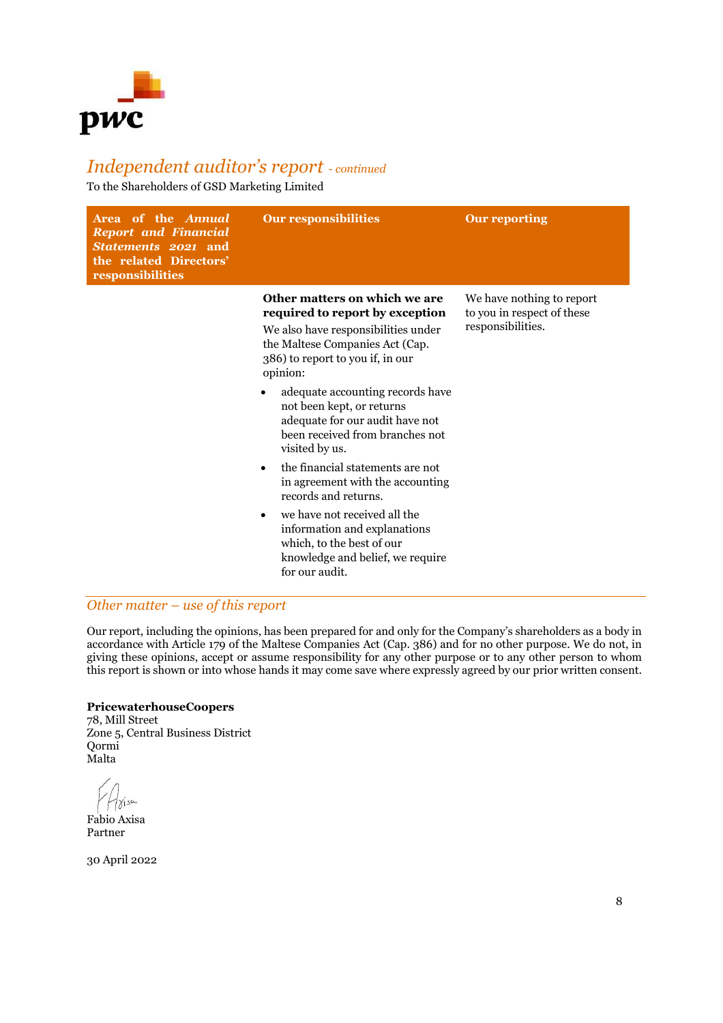

To the Shareholders of GSD Marketing Limited

| Area of the <i>Annual</i><br><b>Report and Financial</b><br>Statements 2021 and<br>the related Directors'<br>responsibilities | <b>Our responsibilities</b>                                                                                                                                                                | <b>Our reporting</b>                                                         |
|-------------------------------------------------------------------------------------------------------------------------------|--------------------------------------------------------------------------------------------------------------------------------------------------------------------------------------------|------------------------------------------------------------------------------|
|                                                                                                                               | Other matters on which we are<br>required to report by exception<br>We also have responsibilities under<br>the Maltese Companies Act (Cap.<br>386) to report to you if, in our<br>opinion: | We have nothing to report<br>to you in respect of these<br>responsibilities. |
|                                                                                                                               | adequate accounting records have<br>$\bullet$<br>not been kept, or returns<br>adequate for our audit have not<br>been received from branches not<br>visited by us.                         |                                                                              |
|                                                                                                                               | the financial statements are not<br>$\bullet$<br>in agreement with the accounting<br>records and returns.                                                                                  |                                                                              |
|                                                                                                                               | we have not received all the<br>٠<br>information and explanations<br>which, to the best of our<br>knowledge and belief, we require<br>for our audit.                                       |                                                                              |

# *Other matter – use of this report*

Our report, including the opinions, has been prepared for and only for the Company's shareholders as a body in accordance with Article 179 of the Maltese Companies Act (Cap. 386) and for no other purpose. We do not, in giving these opinions, accept or assume responsibility for any other purpose or to any other person to whom this report is shown or into whose hands it may come save where expressly agreed by our prior written consent.

# **PricewaterhouseCoopers**

78, Mill Street Zone 5, Central Business District Qormi Malta

Fabio Axisa Partner

30 April 2022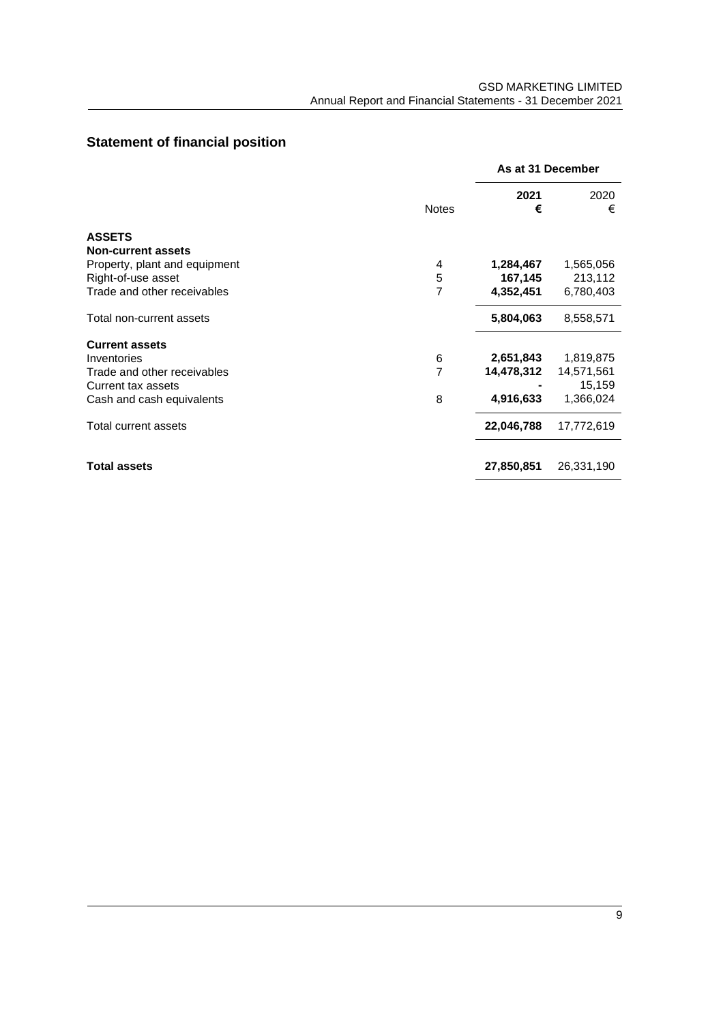# **Statement of financial position**

|                               |              | As at 31 December |            |  |
|-------------------------------|--------------|-------------------|------------|--|
|                               | <b>Notes</b> | 2021<br>€         | 2020<br>€  |  |
| <b>ASSETS</b>                 |              |                   |            |  |
| Non-current assets            |              |                   |            |  |
| Property, plant and equipment | 4            | 1,284,467         | 1,565,056  |  |
| Right-of-use asset            | 5            | 167,145           | 213,112    |  |
| Trade and other receivables   | 7            | 4,352,451         | 6,780,403  |  |
| Total non-current assets      |              | 5,804,063         | 8,558,571  |  |
| <b>Current assets</b>         |              |                   |            |  |
| Inventories                   | 6            | 2,651,843         | 1,819,875  |  |
| Trade and other receivables   | 7            | 14,478,312        | 14,571,561 |  |
| Current tax assets            |              |                   | 15,159     |  |
| Cash and cash equivalents     | 8            | 4,916,633         | 1,366,024  |  |
| Total current assets          |              | 22,046,788        | 17,772,619 |  |
| <b>Total assets</b>           |              | 27,850,851        | 26,331,190 |  |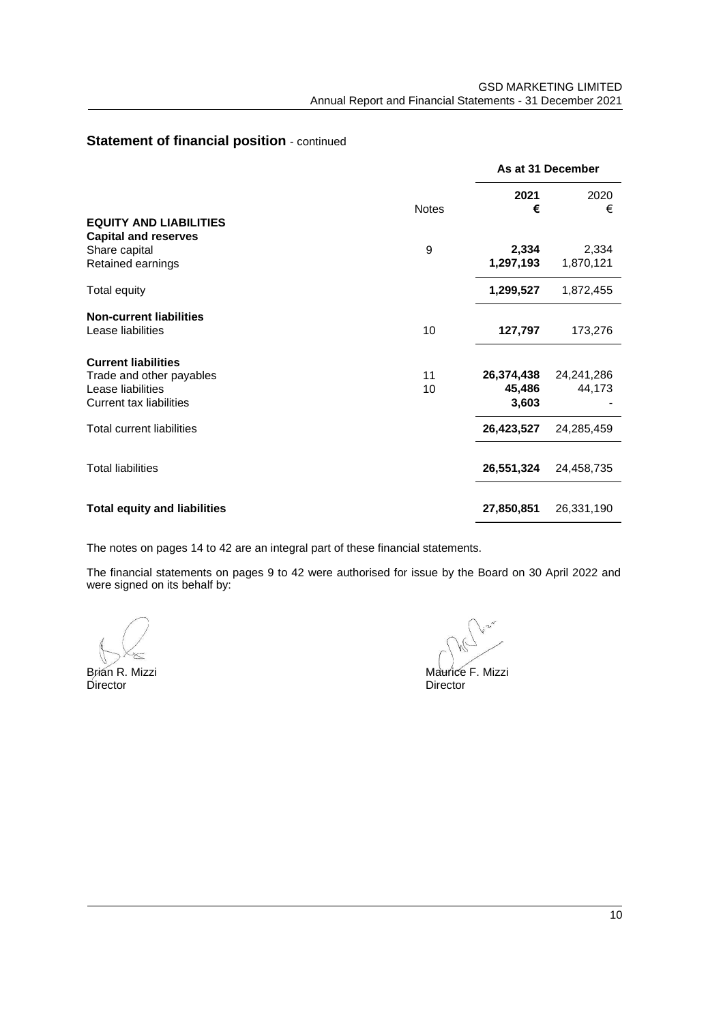# **Statement of financial position** - continued

|    | As at 31 December |              |
|----|-------------------|--------------|
|    | 2021              | 2020         |
|    |                   | €            |
| 9  | 2,334             | 2,334        |
|    | 1,297,193         | 1,870,121    |
|    | 1,299,527         | 1,872,455    |
|    |                   |              |
| 10 |                   | 173,276      |
|    |                   |              |
| 11 | 26,374,438        | 24,241,286   |
| 10 | 45,486            | 44,173       |
|    | 3,603             |              |
|    | 26,423,527        | 24,285,459   |
|    | 26,551,324        | 24,458,735   |
|    | 27,850,851        | 26,331,190   |
|    | <b>Notes</b>      | €<br>127,797 |

The notes on pages 14 to 42 are an integral part of these financial statements.

The financial statements on pages 9 to 42 were authorised for issue by the Board on 30 April 2022 and were signed on its behalf by:

Director

Brian R. Mizzi Maurice F. Mizzi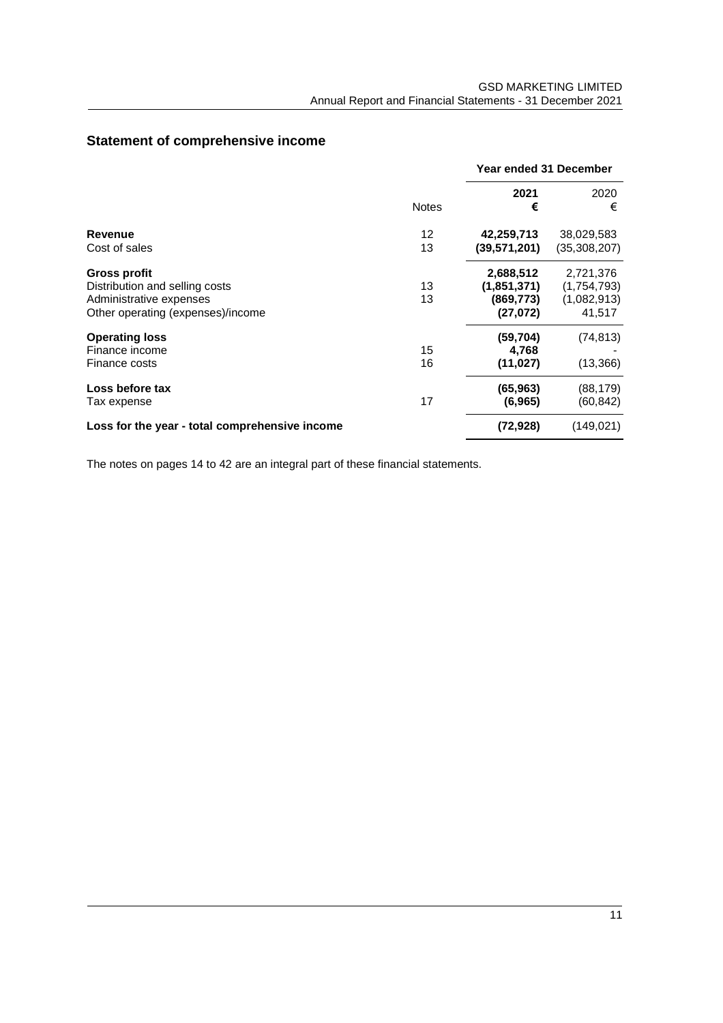# **Statement of comprehensive income**

|                                                |              | Year ended 31 December |              |  |
|------------------------------------------------|--------------|------------------------|--------------|--|
|                                                | <b>Notes</b> | 2021<br>€              | 2020<br>€    |  |
| Revenue                                        | 12           | 42,259,713             | 38,029,583   |  |
| Cost of sales                                  | 13           | (39, 571, 201)         | (35,308,207) |  |
| Gross profit                                   |              | 2,688,512              | 2,721,376    |  |
| Distribution and selling costs                 | 13           | (1,851,371)            | (1,754,793)  |  |
| Administrative expenses                        | 13           | (869,773)              | (1,082,913)  |  |
| Other operating (expenses)/income              |              | (27,072)               | 41,517       |  |
| <b>Operating loss</b>                          |              | (59, 704)              | (74, 813)    |  |
| Finance income                                 | 15           | 4,768                  |              |  |
| Finance costs                                  | 16           | (11, 027)              | (13, 366)    |  |
| Loss before tax                                |              | (65, 963)              | (88,179)     |  |
| Tax expense                                    | 17           | (6, 965)               | (60, 842)    |  |
| Loss for the year - total comprehensive income |              | (72, 928)              | (149, 021)   |  |

The notes on pages 14 to 42 are an integral part of these financial statements.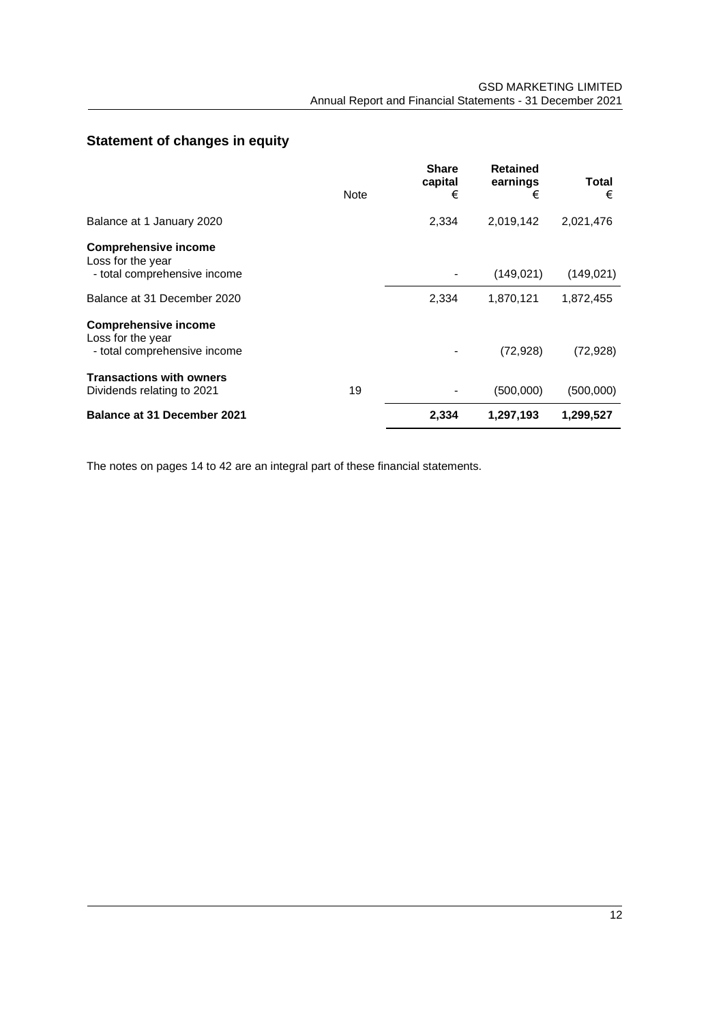# **Statement of changes in equity**

|                                           |      | <b>Share</b><br>capital | <b>Retained</b><br>earnings | Total      |
|-------------------------------------------|------|-------------------------|-----------------------------|------------|
|                                           | Note | €                       | €                           | €          |
| Balance at 1 January 2020                 |      | 2,334                   | 2,019,142                   | 2,021,476  |
| Comprehensive income<br>Loss for the year |      |                         |                             |            |
| - total comprehensive income              |      |                         | (149, 021)                  | (149, 021) |
| Balance at 31 December 2020               |      | 2,334                   | 1,870,121                   | 1,872,455  |
| Comprehensive income<br>Loss for the year |      |                         |                             |            |
| - total comprehensive income              |      |                         | (72, 928)                   | (72, 928)  |
| <b>Transactions with owners</b>           |      |                         |                             |            |
| Dividends relating to 2021                | 19   |                         | (500,000)                   | (500,000)  |
| <b>Balance at 31 December 2021</b>        |      | 2,334                   | 1,297,193                   | 1,299,527  |

The notes on pages 14 to 42 are an integral part of these financial statements.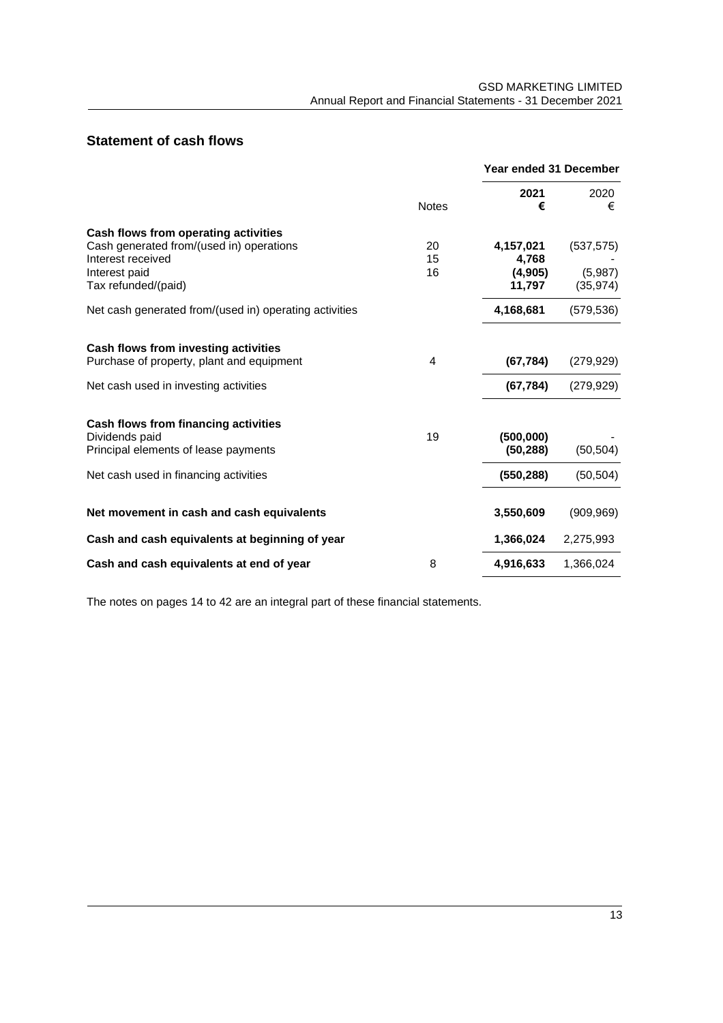# **Statement of cash flows**

|                                                                                  |              | Year ended 31 December |            |
|----------------------------------------------------------------------------------|--------------|------------------------|------------|
|                                                                                  | <b>Notes</b> | 2021<br>€              | 2020<br>€  |
| Cash flows from operating activities<br>Cash generated from/(used in) operations | 20           | 4,157,021              | (537, 575) |
| Interest received<br>Interest paid                                               | 15<br>16     | 4,768<br>(4,905)       | (5,987)    |
| Tax refunded/(paid)                                                              |              | 11,797                 | (35, 974)  |
| Net cash generated from/(used in) operating activities                           |              | 4,168,681              | (579, 536) |
| Cash flows from investing activities                                             |              |                        |            |
| Purchase of property, plant and equipment                                        | 4            | (67, 784)              | (279, 929) |
| Net cash used in investing activities                                            |              | (67, 784)              | (279, 929) |
| Cash flows from financing activities<br>Dividends paid                           | 19           | (500,000)              |            |
| Principal elements of lease payments                                             |              | (50, 288)              | (50, 504)  |
| Net cash used in financing activities                                            |              | (550, 288)             | (50, 504)  |
| Net movement in cash and cash equivalents                                        |              | 3,550,609              | (909, 969) |
| Cash and cash equivalents at beginning of year                                   |              | 1,366,024              | 2,275,993  |
| Cash and cash equivalents at end of year                                         | 8            | 4,916,633              | 1,366,024  |

The notes on pages 14 to 42 are an integral part of these financial statements.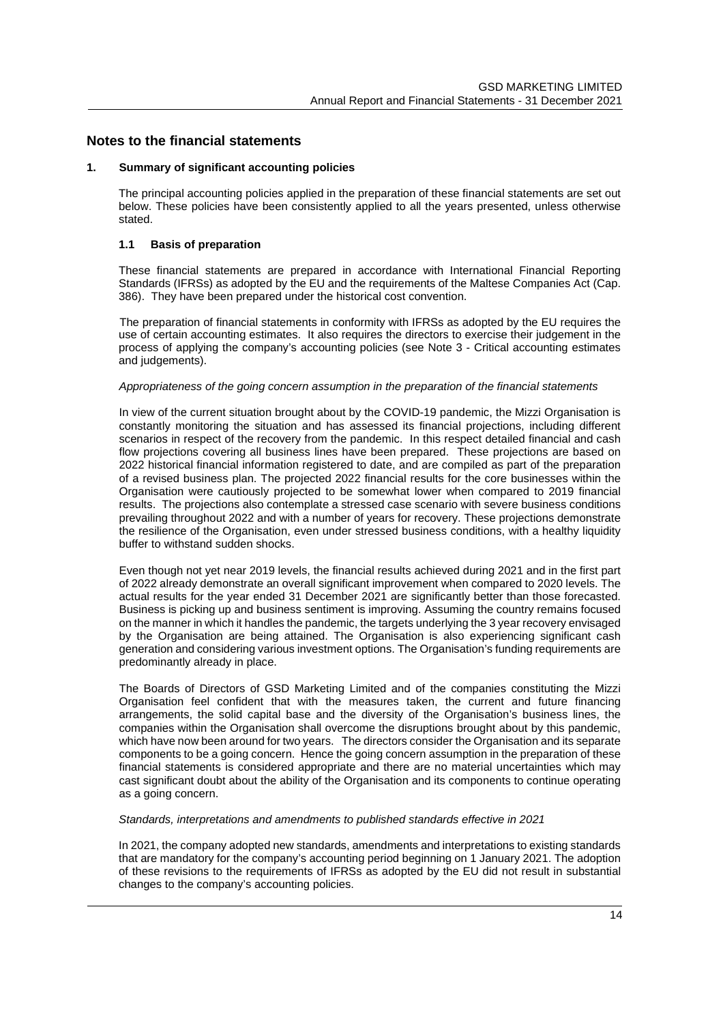# **Notes to the financial statements**

# **1. Summary of significant accounting policies**

The principal accounting policies applied in the preparation of these financial statements are set out below. These policies have been consistently applied to all the years presented, unless otherwise stated.

# **1.1 Basis of preparation**

These financial statements are prepared in accordance with International Financial Reporting Standards (IFRSs) as adopted by the EU and the requirements of the Maltese Companies Act (Cap. 386). They have been prepared under the historical cost convention.

The preparation of financial statements in conformity with IFRSs as adopted by the EU requires the use of certain accounting estimates. It also requires the directors to exercise their judgement in the process of applying the company's accounting policies (see Note 3 - Critical accounting estimates and judgements).

#### *Appropriateness of the going concern assumption in the preparation of the financial statements*

In view of the current situation brought about by the COVID-19 pandemic, the Mizzi Organisation is constantly monitoring the situation and has assessed its financial projections, including different scenarios in respect of the recovery from the pandemic. In this respect detailed financial and cash flow projections covering all business lines have been prepared. These projections are based on 2022 historical financial information registered to date, and are compiled as part of the preparation of a revised business plan. The projected 2022 financial results for the core businesses within the Organisation were cautiously projected to be somewhat lower when compared to 2019 financial results. The projections also contemplate a stressed case scenario with severe business conditions prevailing throughout 2022 and with a number of years for recovery. These projections demonstrate the resilience of the Organisation, even under stressed business conditions, with a healthy liquidity buffer to withstand sudden shocks.

Even though not yet near 2019 levels, the financial results achieved during 2021 and in the first part of 2022 already demonstrate an overall significant improvement when compared to 2020 levels. The actual results for the year ended 31 December 2021 are significantly better than those forecasted. Business is picking up and business sentiment is improving. Assuming the country remains focused on the manner in which it handles the pandemic, the targets underlying the 3 year recovery envisaged by the Organisation are being attained. The Organisation is also experiencing significant cash generation and considering various investment options. The Organisation's funding requirements are predominantly already in place.

The Boards of Directors of GSD Marketing Limited and of the companies constituting the Mizzi Organisation feel confident that with the measures taken, the current and future financing arrangements, the solid capital base and the diversity of the Organisation's business lines, the companies within the Organisation shall overcome the disruptions brought about by this pandemic, which have now been around for two years. The directors consider the Organisation and its separate components to be a going concern. Hence the going concern assumption in the preparation of these financial statements is considered appropriate and there are no material uncertainties which may cast significant doubt about the ability of the Organisation and its components to continue operating as a going concern.

*Standards, interpretations and amendments to published standards effective in 2021*

In 2021, the company adopted new standards, amendments and interpretations to existing standards that are mandatory for the company's accounting period beginning on 1 January 2021. The adoption of these revisions to the requirements of IFRSs as adopted by the EU did not result in substantial changes to the company's accounting policies.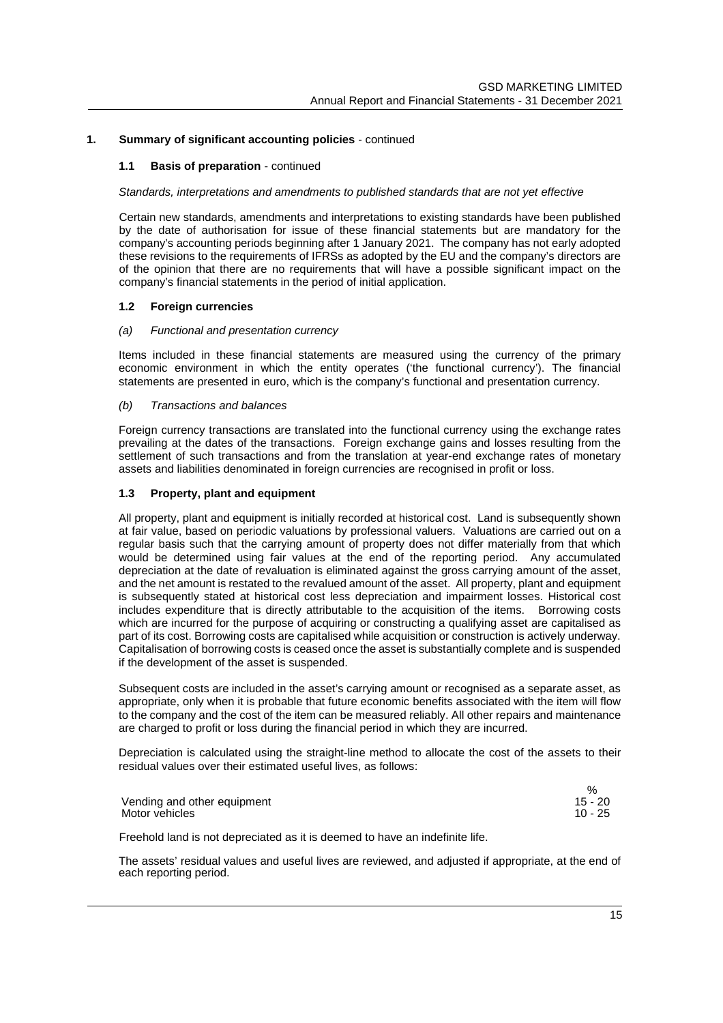#### **1.1 Basis of preparation** - continued

#### *Standards, interpretations and amendments to published standards that are not yet effective*

Certain new standards, amendments and interpretations to existing standards have been published by the date of authorisation for issue of these financial statements but are mandatory for the company's accounting periods beginning after 1 January 2021. The company has not early adopted these revisions to the requirements of IFRSs as adopted by the EU and the company's directors are of the opinion that there are no requirements that will have a possible significant impact on the company's financial statements in the period of initial application.

#### **1.2 Foreign currencies**

#### *(a) Functional and presentation currency*

Items included in these financial statements are measured using the currency of the primary economic environment in which the entity operates ('the functional currency'). The financial statements are presented in euro, which is the company's functional and presentation currency.

#### *(b) Transactions and balances*

Foreign currency transactions are translated into the functional currency using the exchange rates prevailing at the dates of the transactions. Foreign exchange gains and losses resulting from the settlement of such transactions and from the translation at year-end exchange rates of monetary assets and liabilities denominated in foreign currencies are recognised in profit or loss.

#### **1.3 Property, plant and equipment**

All property, plant and equipment is initially recorded at historical cost. Land is subsequently shown at fair value, based on periodic valuations by professional valuers. Valuations are carried out on a regular basis such that the carrying amount of property does not differ materially from that which would be determined using fair values at the end of the reporting period. Any accumulated depreciation at the date of revaluation is eliminated against the gross carrying amount of the asset, and the net amount is restated to the revalued amount of the asset. All property, plant and equipment is subsequently stated at historical cost less depreciation and impairment losses. Historical cost includes expenditure that is directly attributable to the acquisition of the items. Borrowing costs which are incurred for the purpose of acquiring or constructing a qualifying asset are capitalised as part of its cost. Borrowing costs are capitalised while acquisition or construction is actively underway. Capitalisation of borrowing costs is ceased once the asset is substantially complete and is suspended if the development of the asset is suspended.

Subsequent costs are included in the asset's carrying amount or recognised as a separate asset, as appropriate, only when it is probable that future economic benefits associated with the item will flow to the company and the cost of the item can be measured reliably. All other repairs and maintenance are charged to profit or loss during the financial period in which they are incurred.

Depreciation is calculated using the straight-line method to allocate the cost of the assets to their residual values over their estimated useful lives, as follows:

| Vending and other equipment | $15 - 20$ |
|-----------------------------|-----------|
| Motor vehicles              | $10 - 25$ |

Freehold land is not depreciated as it is deemed to have an indefinite life.

The assets' residual values and useful lives are reviewed, and adjusted if appropriate, at the end of each reporting period.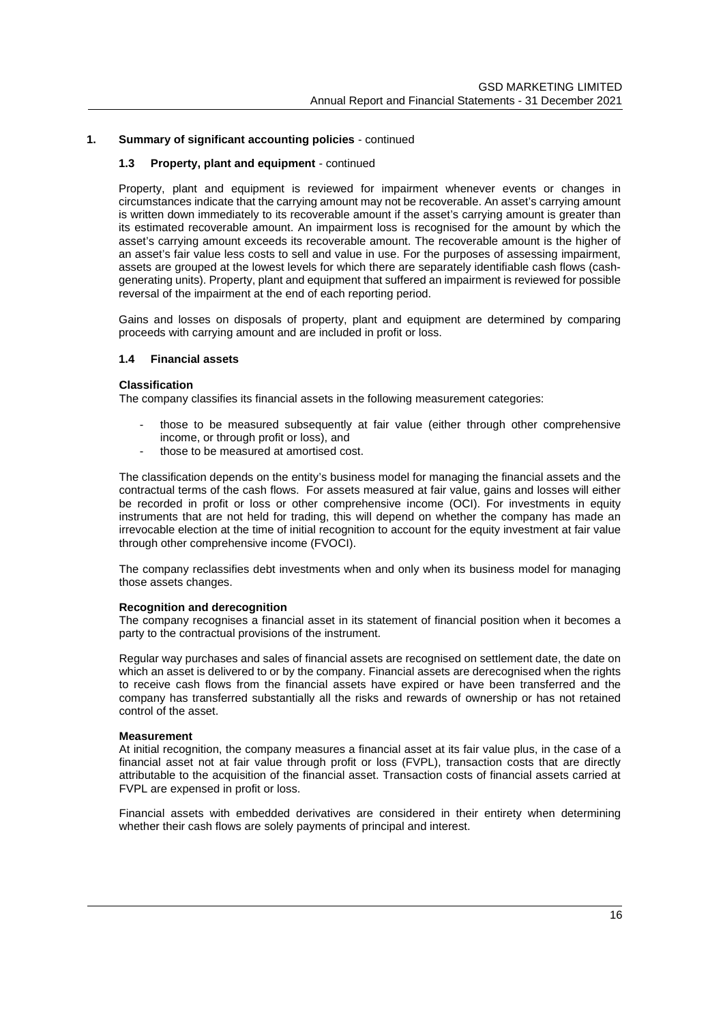## **1.3 Property, plant and equipment** - continued

Property, plant and equipment is reviewed for impairment whenever events or changes in circumstances indicate that the carrying amount may not be recoverable. An asset's carrying amount is written down immediately to its recoverable amount if the asset's carrying amount is greater than its estimated recoverable amount. An impairment loss is recognised for the amount by which the asset's carrying amount exceeds its recoverable amount. The recoverable amount is the higher of an asset's fair value less costs to sell and value in use. For the purposes of assessing impairment, assets are grouped at the lowest levels for which there are separately identifiable cash flows (cashgenerating units). Property, plant and equipment that suffered an impairment is reviewed for possible reversal of the impairment at the end of each reporting period.

Gains and losses on disposals of property, plant and equipment are determined by comparing proceeds with carrying amount and are included in profit or loss.

#### **1.4 Financial assets**

#### **Classification**

The company classifies its financial assets in the following measurement categories:

- those to be measured subsequently at fair value (either through other comprehensive income, or through profit or loss), and
- those to be measured at amortised cost.

The classification depends on the entity's business model for managing the financial assets and the contractual terms of the cash flows. For assets measured at fair value, gains and losses will either be recorded in profit or loss or other comprehensive income (OCI). For investments in equity instruments that are not held for trading, this will depend on whether the company has made an irrevocable election at the time of initial recognition to account for the equity investment at fair value through other comprehensive income (FVOCI).

The company reclassifies debt investments when and only when its business model for managing those assets changes.

# **Recognition and derecognition**

The company recognises a financial asset in its statement of financial position when it becomes a party to the contractual provisions of the instrument.

Regular way purchases and sales of financial assets are recognised on settlement date, the date on which an asset is delivered to or by the company. Financial assets are derecognised when the rights to receive cash flows from the financial assets have expired or have been transferred and the company has transferred substantially all the risks and rewards of ownership or has not retained control of the asset.

#### **Measurement**

At initial recognition, the company measures a financial asset at its fair value plus, in the case of a financial asset not at fair value through profit or loss (FVPL), transaction costs that are directly attributable to the acquisition of the financial asset. Transaction costs of financial assets carried at FVPL are expensed in profit or loss.

Financial assets with embedded derivatives are considered in their entirety when determining whether their cash flows are solely payments of principal and interest.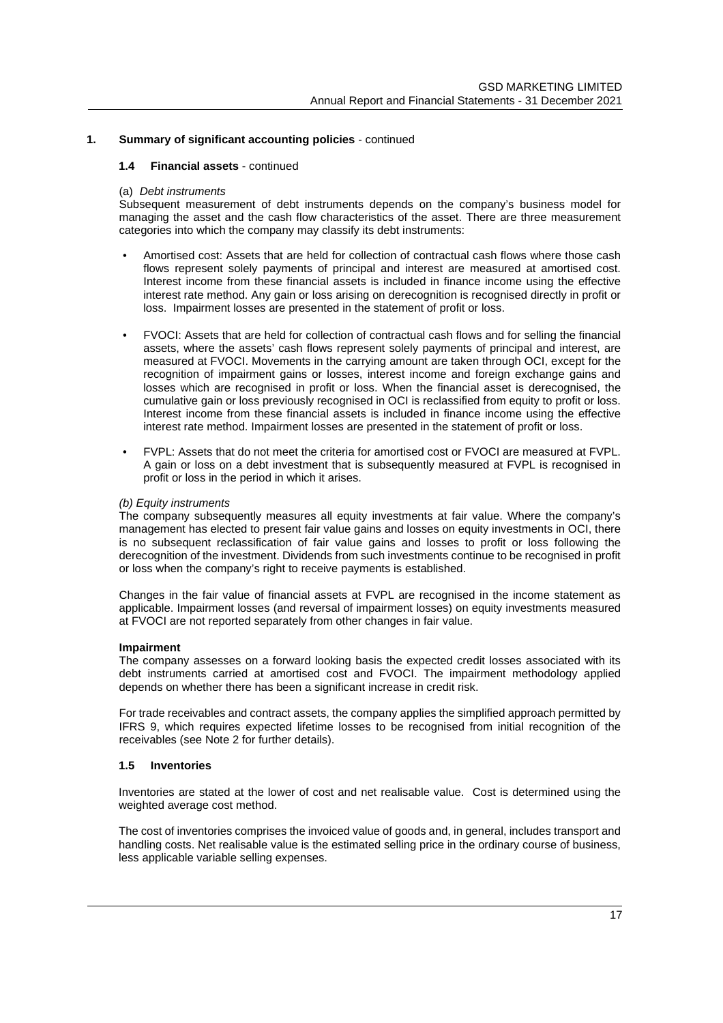#### **1.4 Financial assets** - continued

#### (a) *Debt instruments*

Subsequent measurement of debt instruments depends on the company's business model for managing the asset and the cash flow characteristics of the asset. There are three measurement categories into which the company may classify its debt instruments:

- Amortised cost: Assets that are held for collection of contractual cash flows where those cash flows represent solely payments of principal and interest are measured at amortised cost. Interest income from these financial assets is included in finance income using the effective interest rate method. Any gain or loss arising on derecognition is recognised directly in profit or loss. Impairment losses are presented in the statement of profit or loss.
- FVOCI: Assets that are held for collection of contractual cash flows and for selling the financial assets, where the assets' cash flows represent solely payments of principal and interest, are measured at FVOCI. Movements in the carrying amount are taken through OCI, except for the recognition of impairment gains or losses, interest income and foreign exchange gains and losses which are recognised in profit or loss. When the financial asset is derecognised, the cumulative gain or loss previously recognised in OCI is reclassified from equity to profit or loss. Interest income from these financial assets is included in finance income using the effective interest rate method. Impairment losses are presented in the statement of profit or loss.
- FVPL: Assets that do not meet the criteria for amortised cost or FVOCI are measured at FVPL. A gain or loss on a debt investment that is subsequently measured at FVPL is recognised in profit or loss in the period in which it arises.

## *(b) Equity instruments*

The company subsequently measures all equity investments at fair value. Where the company's management has elected to present fair value gains and losses on equity investments in OCI, there is no subsequent reclassification of fair value gains and losses to profit or loss following the derecognition of the investment. Dividends from such investments continue to be recognised in profit or loss when the company's right to receive payments is established.

Changes in the fair value of financial assets at FVPL are recognised in the income statement as applicable. Impairment losses (and reversal of impairment losses) on equity investments measured at FVOCI are not reported separately from other changes in fair value.

#### **Impairment**

The company assesses on a forward looking basis the expected credit losses associated with its debt instruments carried at amortised cost and FVOCI. The impairment methodology applied depends on whether there has been a significant increase in credit risk.

For trade receivables and contract assets, the company applies the simplified approach permitted by IFRS 9, which requires expected lifetime losses to be recognised from initial recognition of the receivables (see Note 2 for further details).

## **1.5 Inventories**

Inventories are stated at the lower of cost and net realisable value. Cost is determined using the weighted average cost method.

The cost of inventories comprises the invoiced value of goods and, in general, includes transport and handling costs. Net realisable value is the estimated selling price in the ordinary course of business, less applicable variable selling expenses.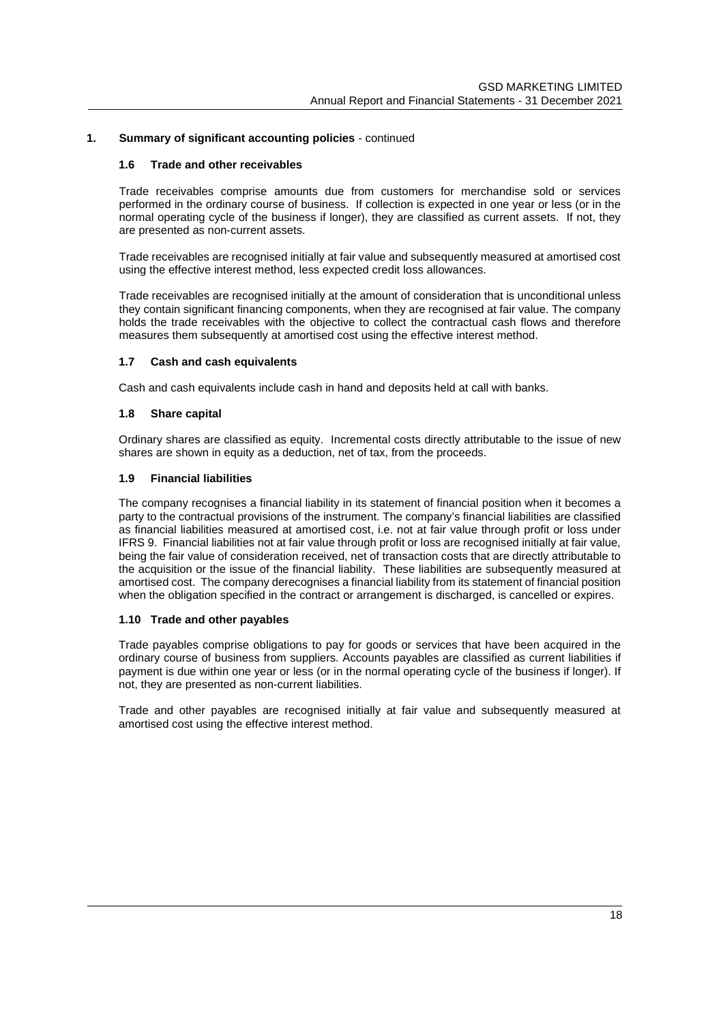# **1.6 Trade and other receivables**

Trade receivables comprise amounts due from customers for merchandise sold or services performed in the ordinary course of business. If collection is expected in one year or less (or in the normal operating cycle of the business if longer), they are classified as current assets. If not, they are presented as non-current assets.

Trade receivables are recognised initially at fair value and subsequently measured at amortised cost using the effective interest method, less expected credit loss allowances.

Trade receivables are recognised initially at the amount of consideration that is unconditional unless they contain significant financing components, when they are recognised at fair value. The company holds the trade receivables with the objective to collect the contractual cash flows and therefore measures them subsequently at amortised cost using the effective interest method.

## **1.7 Cash and cash equivalents**

Cash and cash equivalents include cash in hand and deposits held at call with banks.

## **1.8 Share capital**

Ordinary shares are classified as equity. Incremental costs directly attributable to the issue of new shares are shown in equity as a deduction, net of tax, from the proceeds.

## **1.9 Financial liabilities**

The company recognises a financial liability in its statement of financial position when it becomes a party to the contractual provisions of the instrument. The company's financial liabilities are classified as financial liabilities measured at amortised cost, i.e. not at fair value through profit or loss under IFRS 9. Financial liabilities not at fair value through profit or loss are recognised initially at fair value, being the fair value of consideration received, net of transaction costs that are directly attributable to the acquisition or the issue of the financial liability. These liabilities are subsequently measured at amortised cost. The company derecognises a financial liability from its statement of financial position when the obligation specified in the contract or arrangement is discharged, is cancelled or expires.

#### **1.10 Trade and other payables**

Trade payables comprise obligations to pay for goods or services that have been acquired in the ordinary course of business from suppliers. Accounts payables are classified as current liabilities if payment is due within one year or less (or in the normal operating cycle of the business if longer). If not, they are presented as non-current liabilities.

Trade and other payables are recognised initially at fair value and subsequently measured at amortised cost using the effective interest method.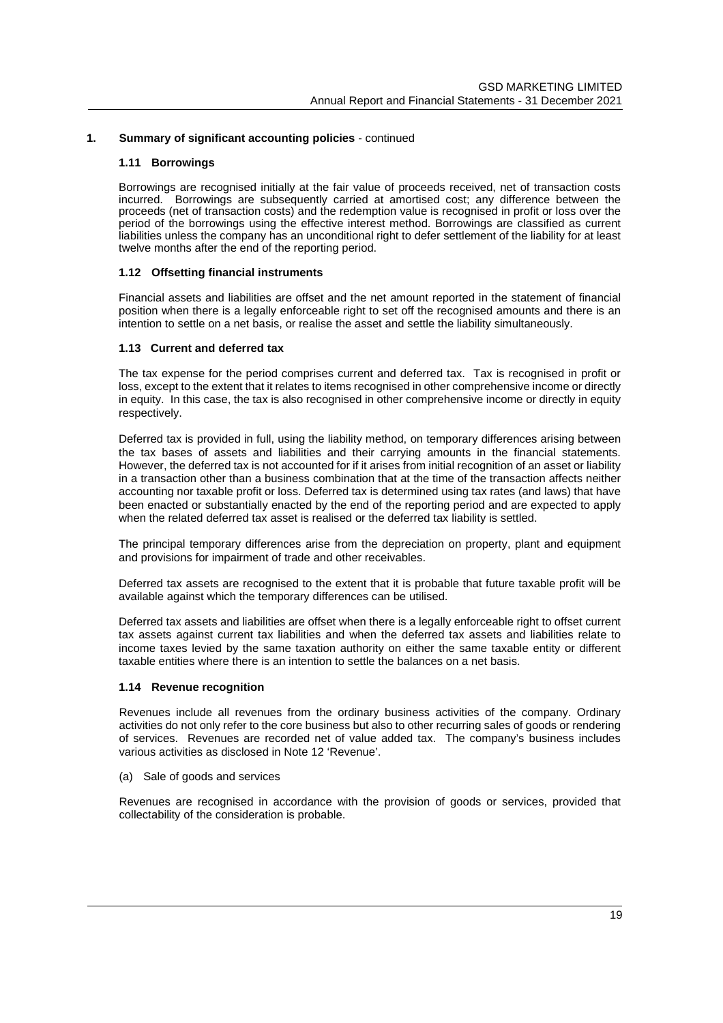# **1.11 Borrowings**

Borrowings are recognised initially at the fair value of proceeds received, net of transaction costs incurred. Borrowings are subsequently carried at amortised cost; any difference between the proceeds (net of transaction costs) and the redemption value is recognised in profit or loss over the period of the borrowings using the effective interest method. Borrowings are classified as current liabilities unless the company has an unconditional right to defer settlement of the liability for at least twelve months after the end of the reporting period.

# **1.12 Offsetting financial instruments**

Financial assets and liabilities are offset and the net amount reported in the statement of financial position when there is a legally enforceable right to set off the recognised amounts and there is an intention to settle on a net basis, or realise the asset and settle the liability simultaneously.

## **1.13 Current and deferred tax**

The tax expense for the period comprises current and deferred tax. Tax is recognised in profit or loss, except to the extent that it relates to items recognised in other comprehensive income or directly in equity. In this case, the tax is also recognised in other comprehensive income or directly in equity respectively.

Deferred tax is provided in full, using the liability method, on temporary differences arising between the tax bases of assets and liabilities and their carrying amounts in the financial statements. However, the deferred tax is not accounted for if it arises from initial recognition of an asset or liability in a transaction other than a business combination that at the time of the transaction affects neither accounting nor taxable profit or loss. Deferred tax is determined using tax rates (and laws) that have been enacted or substantially enacted by the end of the reporting period and are expected to apply when the related deferred tax asset is realised or the deferred tax liability is settled.

The principal temporary differences arise from the depreciation on property, plant and equipment and provisions for impairment of trade and other receivables.

Deferred tax assets are recognised to the extent that it is probable that future taxable profit will be available against which the temporary differences can be utilised.

Deferred tax assets and liabilities are offset when there is a legally enforceable right to offset current tax assets against current tax liabilities and when the deferred tax assets and liabilities relate to income taxes levied by the same taxation authority on either the same taxable entity or different taxable entities where there is an intention to settle the balances on a net basis.

#### **1.14 Revenue recognition**

Revenues include all revenues from the ordinary business activities of the company. Ordinary activities do not only refer to the core business but also to other recurring sales of goods or rendering of services. Revenues are recorded net of value added tax. The company's business includes various activities as disclosed in Note 12 'Revenue'.

(a) Sale of goods and services

Revenues are recognised in accordance with the provision of goods or services, provided that collectability of the consideration is probable.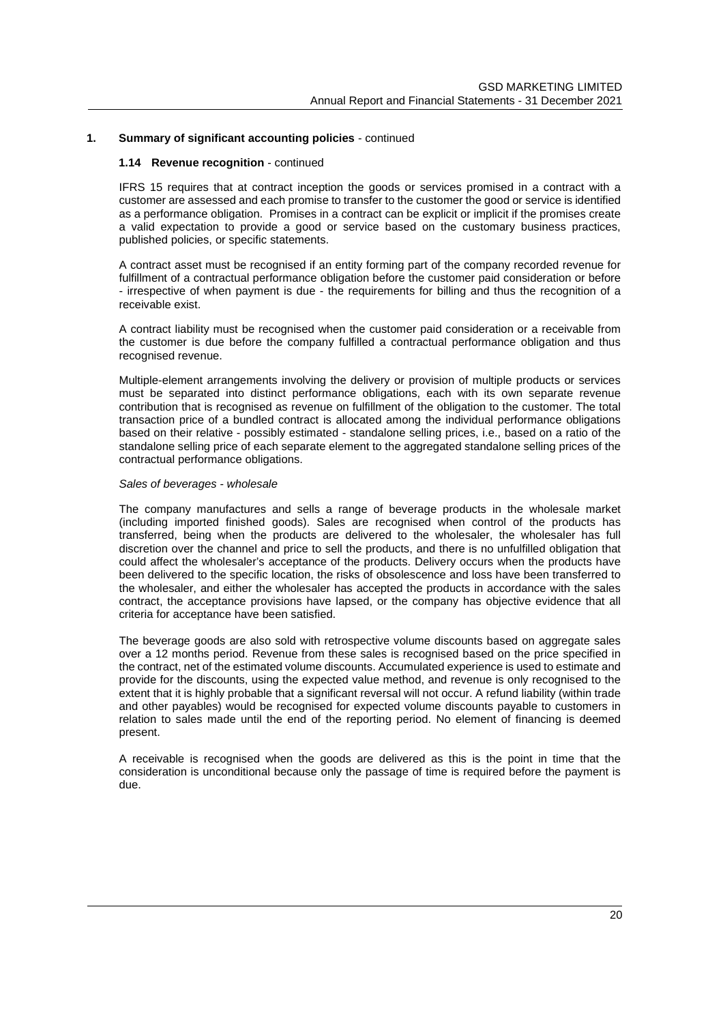#### **1.14 Revenue recognition** - continued

IFRS 15 requires that at contract inception the goods or services promised in a contract with a customer are assessed and each promise to transfer to the customer the good or service is identified as a performance obligation. Promises in a contract can be explicit or implicit if the promises create a valid expectation to provide a good or service based on the customary business practices, published policies, or specific statements.

A contract asset must be recognised if an entity forming part of the company recorded revenue for fulfillment of a contractual performance obligation before the customer paid consideration or before - irrespective of when payment is due - the requirements for billing and thus the recognition of a receivable exist.

A contract liability must be recognised when the customer paid consideration or a receivable from the customer is due before the company fulfilled a contractual performance obligation and thus recognised revenue.

Multiple-element arrangements involving the delivery or provision of multiple products or services must be separated into distinct performance obligations, each with its own separate revenue contribution that is recognised as revenue on fulfillment of the obligation to the customer. The total transaction price of a bundled contract is allocated among the individual performance obligations based on their relative - possibly estimated - standalone selling prices, i.e., based on a ratio of the standalone selling price of each separate element to the aggregated standalone selling prices of the contractual performance obligations.

## *Sales of beverages - wholesale*

The company manufactures and sells a range of beverage products in the wholesale market (including imported finished goods). Sales are recognised when control of the products has transferred, being when the products are delivered to the wholesaler, the wholesaler has full discretion over the channel and price to sell the products, and there is no unfulfilled obligation that could affect the wholesaler's acceptance of the products. Delivery occurs when the products have been delivered to the specific location, the risks of obsolescence and loss have been transferred to the wholesaler, and either the wholesaler has accepted the products in accordance with the sales contract, the acceptance provisions have lapsed, or the company has objective evidence that all criteria for acceptance have been satisfied.

The beverage goods are also sold with retrospective volume discounts based on aggregate sales over a 12 months period. Revenue from these sales is recognised based on the price specified in the contract, net of the estimated volume discounts. Accumulated experience is used to estimate and provide for the discounts, using the expected value method, and revenue is only recognised to the extent that it is highly probable that a significant reversal will not occur. A refund liability (within trade and other payables) would be recognised for expected volume discounts payable to customers in relation to sales made until the end of the reporting period. No element of financing is deemed present.

A receivable is recognised when the goods are delivered as this is the point in time that the consideration is unconditional because only the passage of time is required before the payment is due.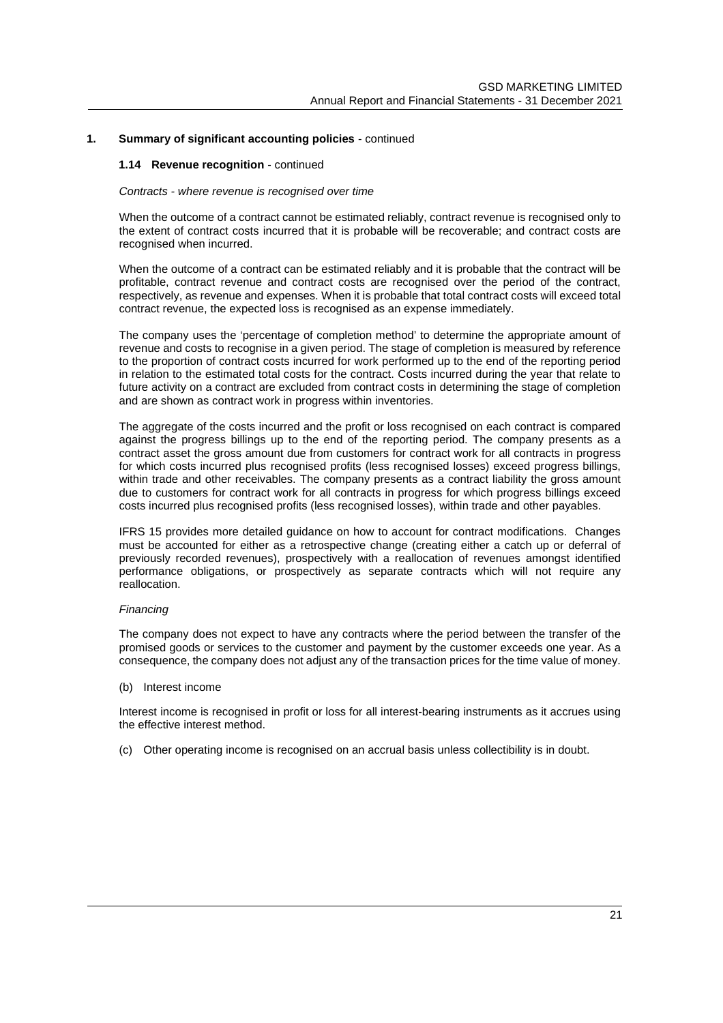#### **1.14 Revenue recognition** - continued

#### *Contracts - where revenue is recognised over time*

When the outcome of a contract cannot be estimated reliably, contract revenue is recognised only to the extent of contract costs incurred that it is probable will be recoverable; and contract costs are recognised when incurred.

When the outcome of a contract can be estimated reliably and it is probable that the contract will be profitable, contract revenue and contract costs are recognised over the period of the contract, respectively, as revenue and expenses. When it is probable that total contract costs will exceed total contract revenue, the expected loss is recognised as an expense immediately.

The company uses the 'percentage of completion method' to determine the appropriate amount of revenue and costs to recognise in a given period. The stage of completion is measured by reference to the proportion of contract costs incurred for work performed up to the end of the reporting period in relation to the estimated total costs for the contract. Costs incurred during the year that relate to future activity on a contract are excluded from contract costs in determining the stage of completion and are shown as contract work in progress within inventories.

The aggregate of the costs incurred and the profit or loss recognised on each contract is compared against the progress billings up to the end of the reporting period. The company presents as a contract asset the gross amount due from customers for contract work for all contracts in progress for which costs incurred plus recognised profits (less recognised losses) exceed progress billings, within trade and other receivables. The company presents as a contract liability the gross amount due to customers for contract work for all contracts in progress for which progress billings exceed costs incurred plus recognised profits (less recognised losses), within trade and other payables.

IFRS 15 provides more detailed guidance on how to account for contract modifications. Changes must be accounted for either as a retrospective change (creating either a catch up or deferral of previously recorded revenues), prospectively with a reallocation of revenues amongst identified performance obligations, or prospectively as separate contracts which will not require any reallocation.

#### *Financing*

The company does not expect to have any contracts where the period between the transfer of the promised goods or services to the customer and payment by the customer exceeds one year. As a consequence, the company does not adjust any of the transaction prices for the time value of money.

(b) Interest income

Interest income is recognised in profit or loss for all interest-bearing instruments as it accrues using the effective interest method.

(c) Other operating income is recognised on an accrual basis unless collectibility is in doubt.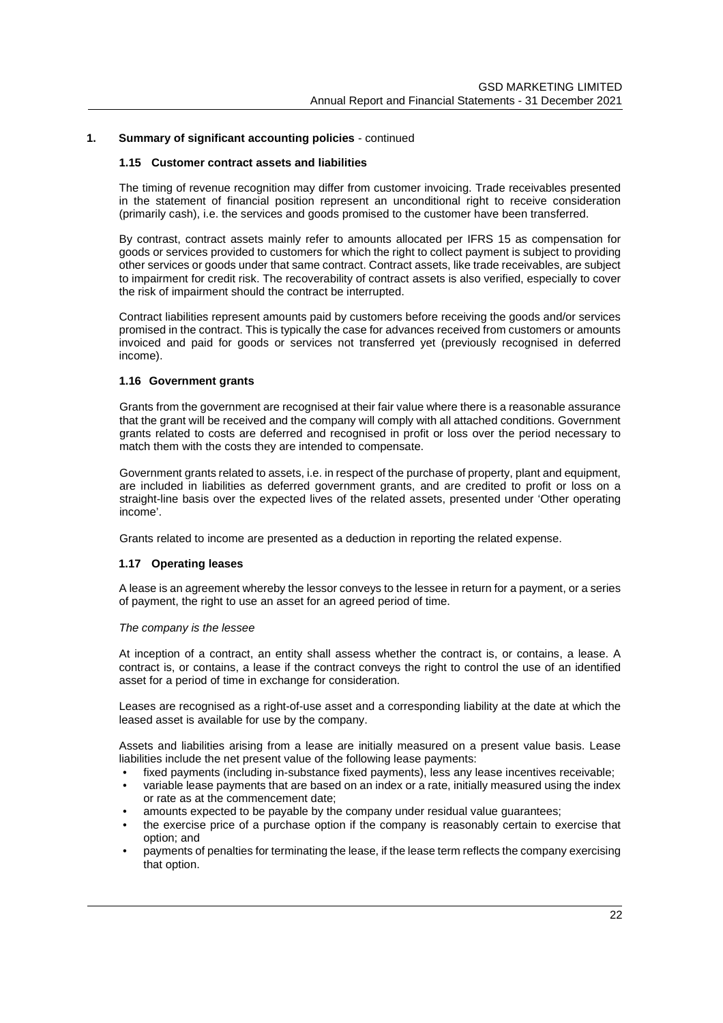#### **1.15 Customer contract assets and liabilities**

The timing of revenue recognition may differ from customer invoicing. Trade receivables presented in the statement of financial position represent an unconditional right to receive consideration (primarily cash), i.e. the services and goods promised to the customer have been transferred.

By contrast, contract assets mainly refer to amounts allocated per IFRS 15 as compensation for goods or services provided to customers for which the right to collect payment is subject to providing other services or goods under that same contract. Contract assets, like trade receivables, are subject to impairment for credit risk. The recoverability of contract assets is also verified, especially to cover the risk of impairment should the contract be interrupted.

Contract liabilities represent amounts paid by customers before receiving the goods and/or services promised in the contract. This is typically the case for advances received from customers or amounts invoiced and paid for goods or services not transferred yet (previously recognised in deferred income).

#### **1.16 Government grants**

Grants from the government are recognised at their fair value where there is a reasonable assurance that the grant will be received and the company will comply with all attached conditions. Government grants related to costs are deferred and recognised in profit or loss over the period necessary to match them with the costs they are intended to compensate.

Government grants related to assets, i.e. in respect of the purchase of property, plant and equipment, are included in liabilities as deferred government grants, and are credited to profit or loss on a straight-line basis over the expected lives of the related assets, presented under 'Other operating income'.

Grants related to income are presented as a deduction in reporting the related expense.

### **1.17 Operating leases**

A lease is an agreement whereby the lessor conveys to the lessee in return for a payment, or a series of payment, the right to use an asset for an agreed period of time.

#### *The company is the lessee*

At inception of a contract, an entity shall assess whether the contract is, or contains, a lease. A contract is, or contains, a lease if the contract conveys the right to control the use of an identified asset for a period of time in exchange for consideration.

Leases are recognised as a right-of-use asset and a corresponding liability at the date at which the leased asset is available for use by the company.

Assets and liabilities arising from a lease are initially measured on a present value basis. Lease liabilities include the net present value of the following lease payments:

- fixed payments (including in-substance fixed payments), less any lease incentives receivable;
- variable lease payments that are based on an index or a rate, initially measured using the index or rate as at the commencement date;
- amounts expected to be payable by the company under residual value guarantees;
- the exercise price of a purchase option if the company is reasonably certain to exercise that option; and
- payments of penalties for terminating the lease, if the lease term reflects the company exercising that option.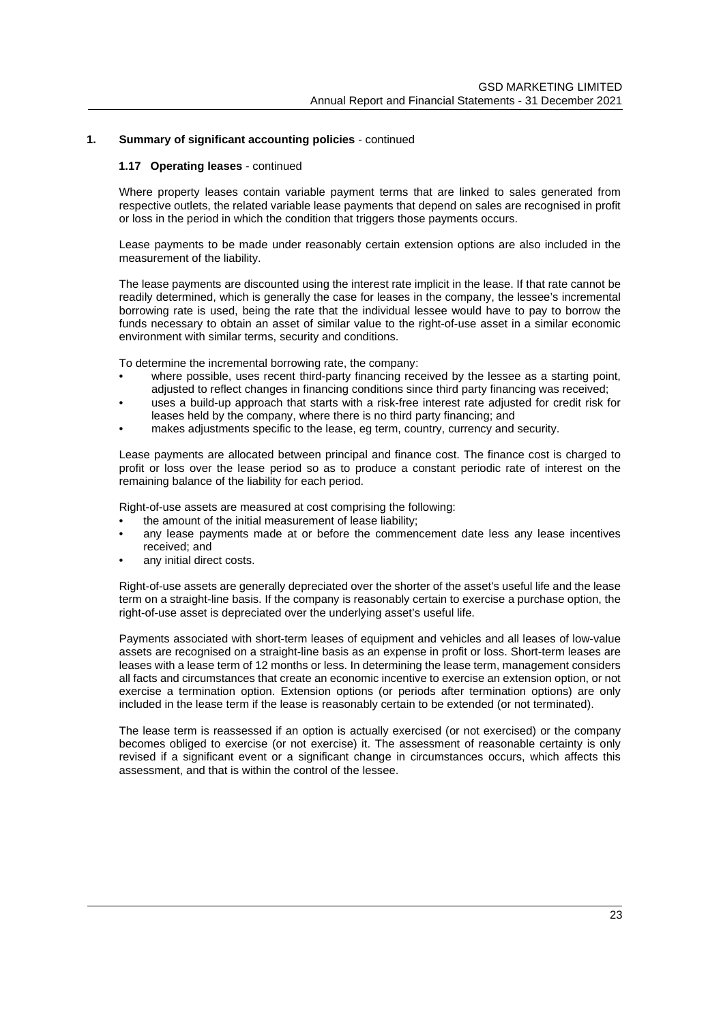#### **1.17 Operating leases** - continued

Where property leases contain variable payment terms that are linked to sales generated from respective outlets, the related variable lease payments that depend on sales are recognised in profit or loss in the period in which the condition that triggers those payments occurs.

Lease payments to be made under reasonably certain extension options are also included in the measurement of the liability.

The lease payments are discounted using the interest rate implicit in the lease. If that rate cannot be readily determined, which is generally the case for leases in the company, the lessee's incremental borrowing rate is used, being the rate that the individual lessee would have to pay to borrow the funds necessary to obtain an asset of similar value to the right-of-use asset in a similar economic environment with similar terms, security and conditions.

To determine the incremental borrowing rate, the company:

- where possible, uses recent third-party financing received by the lessee as a starting point, adjusted to reflect changes in financing conditions since third party financing was received;
- uses a build-up approach that starts with a risk-free interest rate adjusted for credit risk for leases held by the company, where there is no third party financing; and
- makes adjustments specific to the lease, eg term, country, currency and security.

Lease payments are allocated between principal and finance cost. The finance cost is charged to profit or loss over the lease period so as to produce a constant periodic rate of interest on the remaining balance of the liability for each period.

Right-of-use assets are measured at cost comprising the following:

- the amount of the initial measurement of lease liability;
- any lease payments made at or before the commencement date less any lease incentives received; and
- any initial direct costs.

Right-of-use assets are generally depreciated over the shorter of the asset's useful life and the lease term on a straight-line basis. If the company is reasonably certain to exercise a purchase option, the right-of-use asset is depreciated over the underlying asset's useful life.

Payments associated with short-term leases of equipment and vehicles and all leases of low-value assets are recognised on a straight-line basis as an expense in profit or loss. Short-term leases are leases with a lease term of 12 months or less. In determining the lease term, management considers all facts and circumstances that create an economic incentive to exercise an extension option, or not exercise a termination option. Extension options (or periods after termination options) are only included in the lease term if the lease is reasonably certain to be extended (or not terminated).

The lease term is reassessed if an option is actually exercised (or not exercised) or the company becomes obliged to exercise (or not exercise) it. The assessment of reasonable certainty is only revised if a significant event or a significant change in circumstances occurs, which affects this assessment, and that is within the control of the lessee.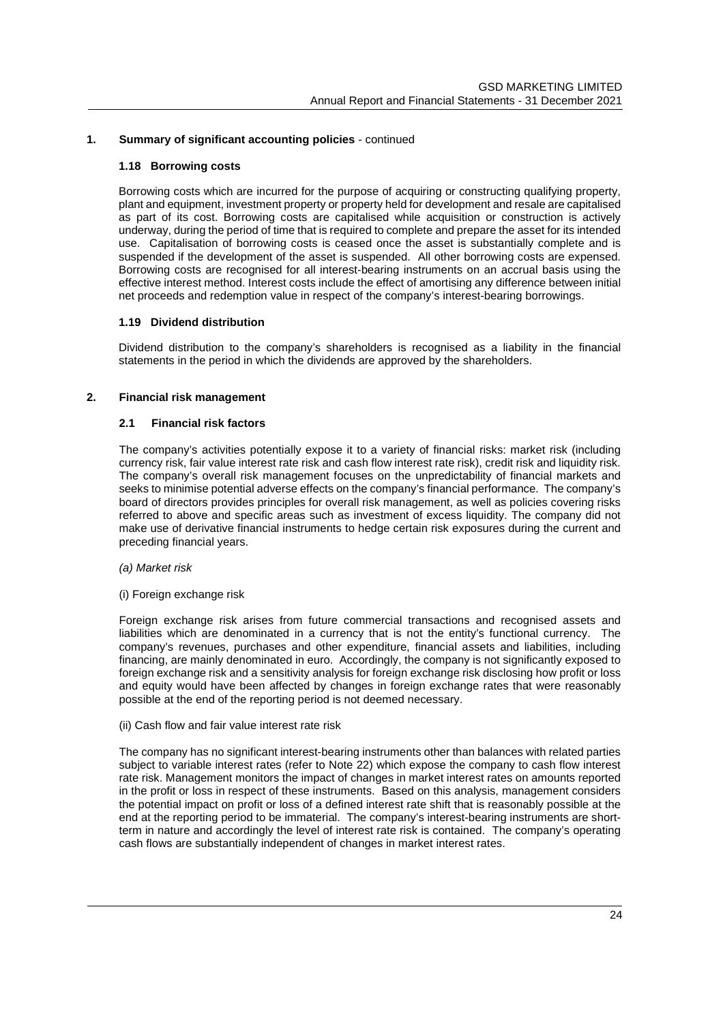# **1.18 Borrowing costs**

Borrowing costs which are incurred for the purpose of acquiring or constructing qualifying property, plant and equipment, investment property or property held for development and resale are capitalised as part of its cost. Borrowing costs are capitalised while acquisition or construction is actively underway, during the period of time that is required to complete and prepare the asset for its intended use. Capitalisation of borrowing costs is ceased once the asset is substantially complete and is suspended if the development of the asset is suspended. All other borrowing costs are expensed. Borrowing costs are recognised for all interest-bearing instruments on an accrual basis using the effective interest method. Interest costs include the effect of amortising any difference between initial net proceeds and redemption value in respect of the company's interest-bearing borrowings.

# **1.19 Dividend distribution**

Dividend distribution to the company's shareholders is recognised as a liability in the financial statements in the period in which the dividends are approved by the shareholders.

# **2. Financial risk management**

## **2.1 Financial risk factors**

The company's activities potentially expose it to a variety of financial risks: market risk (including currency risk, fair value interest rate risk and cash flow interest rate risk), credit risk and liquidity risk. The company's overall risk management focuses on the unpredictability of financial markets and seeks to minimise potential adverse effects on the company's financial performance. The company's board of directors provides principles for overall risk management, as well as policies covering risks referred to above and specific areas such as investment of excess liquidity. The company did not make use of derivative financial instruments to hedge certain risk exposures during the current and preceding financial years.

#### *(a) Market risk*

(i) Foreign exchange risk

Foreign exchange risk arises from future commercial transactions and recognised assets and liabilities which are denominated in a currency that is not the entity's functional currency. The company's revenues, purchases and other expenditure, financial assets and liabilities, including financing, are mainly denominated in euro. Accordingly, the company is not significantly exposed to foreign exchange risk and a sensitivity analysis for foreign exchange risk disclosing how profit or loss and equity would have been affected by changes in foreign exchange rates that were reasonably possible at the end of the reporting period is not deemed necessary.

(ii) Cash flow and fair value interest rate risk

The company has no significant interest-bearing instruments other than balances with related parties subject to variable interest rates (refer to Note 22) which expose the company to cash flow interest rate risk. Management monitors the impact of changes in market interest rates on amounts reported in the profit or loss in respect of these instruments. Based on this analysis, management considers the potential impact on profit or loss of a defined interest rate shift that is reasonably possible at the end at the reporting period to be immaterial. The company's interest-bearing instruments are shortterm in nature and accordingly the level of interest rate risk is contained. The company's operating cash flows are substantially independent of changes in market interest rates.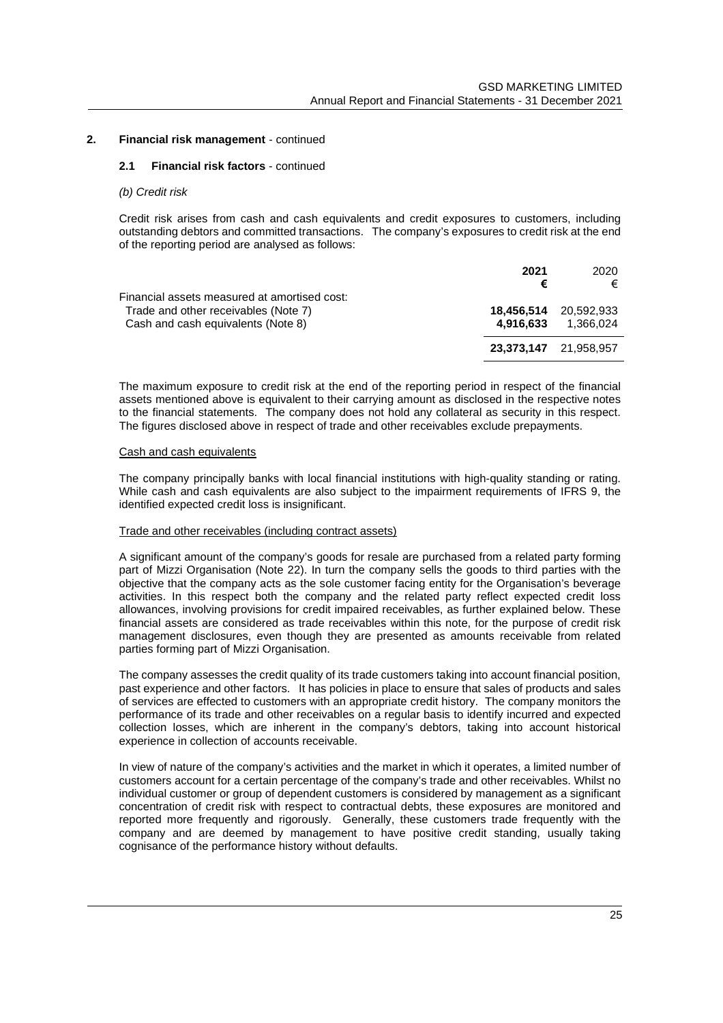#### **2.1 Financial risk factors** - continued

#### *(b) Credit risk*

Credit risk arises from cash and cash equivalents and credit exposures to customers, including outstanding debtors and committed transactions. The company's exposures to credit risk at the end of the reporting period are analysed as follows:

|                                                                                                                            | 2021                  | 2020<br>€                          |
|----------------------------------------------------------------------------------------------------------------------------|-----------------------|------------------------------------|
| Financial assets measured at amortised cost:<br>Trade and other receivables (Note 7)<br>Cash and cash equivalents (Note 8) | 4.916.633             | 18.456.514 20.592.933<br>1.366.024 |
|                                                                                                                            | 23.373.147 21.958.957 |                                    |

The maximum exposure to credit risk at the end of the reporting period in respect of the financial assets mentioned above is equivalent to their carrying amount as disclosed in the respective notes to the financial statements. The company does not hold any collateral as security in this respect. The figures disclosed above in respect of trade and other receivables exclude prepayments.

#### Cash and cash equivalents

The company principally banks with local financial institutions with high-quality standing or rating. While cash and cash equivalents are also subject to the impairment requirements of IFRS 9, the identified expected credit loss is insignificant.

#### Trade and other receivables (including contract assets)

A significant amount of the company's goods for resale are purchased from a related party forming part of Mizzi Organisation (Note 22). In turn the company sells the goods to third parties with the objective that the company acts as the sole customer facing entity for the Organisation's beverage activities. In this respect both the company and the related party reflect expected credit loss allowances, involving provisions for credit impaired receivables, as further explained below. These financial assets are considered as trade receivables within this note, for the purpose of credit risk management disclosures, even though they are presented as amounts receivable from related parties forming part of Mizzi Organisation.

The company assesses the credit quality of its trade customers taking into account financial position, past experience and other factors. It has policies in place to ensure that sales of products and sales of services are effected to customers with an appropriate credit history. The company monitors the performance of its trade and other receivables on a regular basis to identify incurred and expected collection losses, which are inherent in the company's debtors, taking into account historical experience in collection of accounts receivable.

In view of nature of the company's activities and the market in which it operates, a limited number of customers account for a certain percentage of the company's trade and other receivables. Whilst no individual customer or group of dependent customers is considered by management as a significant concentration of credit risk with respect to contractual debts, these exposures are monitored and reported more frequently and rigorously. Generally, these customers trade frequently with the company and are deemed by management to have positive credit standing, usually taking cognisance of the performance history without defaults.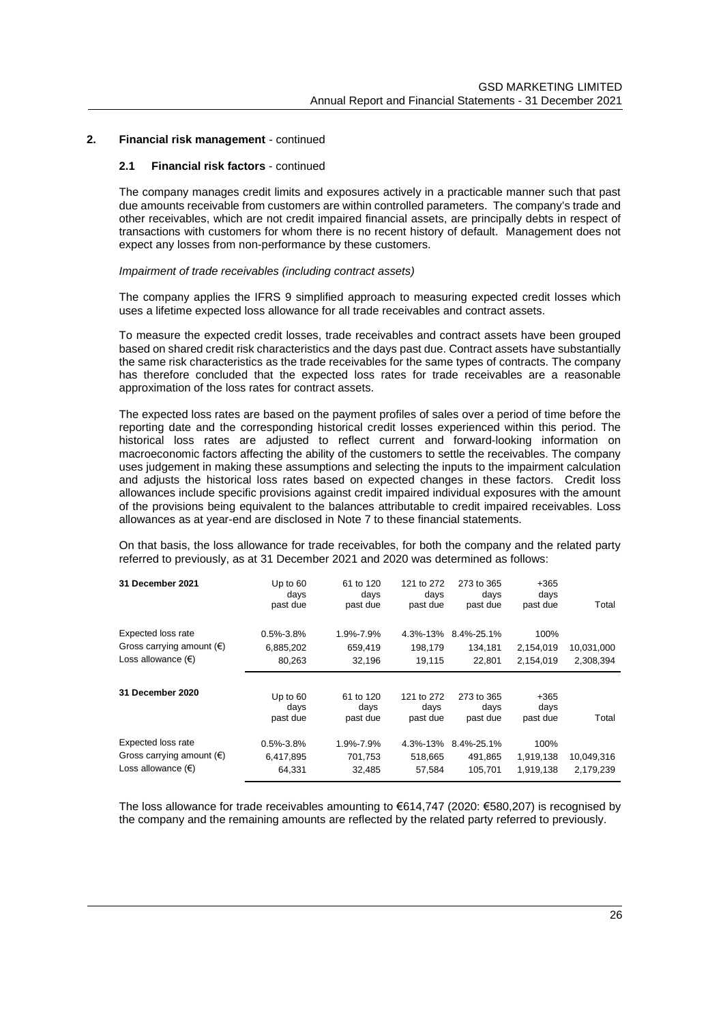#### **2.1 Financial risk factors** - continued

The company manages credit limits and exposures actively in a practicable manner such that past due amounts receivable from customers are within controlled parameters. The company's trade and other receivables, which are not credit impaired financial assets, are principally debts in respect of transactions with customers for whom there is no recent history of default. Management does not expect any losses from non-performance by these customers.

## *Impairment of trade receivables (including contract assets)*

The company applies the IFRS 9 simplified approach to measuring expected credit losses which uses a lifetime expected loss allowance for all trade receivables and contract assets.

To measure the expected credit losses, trade receivables and contract assets have been grouped based on shared credit risk characteristics and the days past due. Contract assets have substantially the same risk characteristics as the trade receivables for the same types of contracts. The company has therefore concluded that the expected loss rates for trade receivables are a reasonable approximation of the loss rates for contract assets.

The expected loss rates are based on the payment profiles of sales over a period of time before the reporting date and the corresponding historical credit losses experienced within this period. The historical loss rates are adjusted to reflect current and forward-looking information on macroeconomic factors affecting the ability of the customers to settle the receivables. The company uses judgement in making these assumptions and selecting the inputs to the impairment calculation and adjusts the historical loss rates based on expected changes in these factors. Credit loss allowances include specific provisions against credit impaired individual exposures with the amount of the provisions being equivalent to the balances attributable to credit impaired receivables. Loss allowances as at year-end are disclosed in Note 7 to these financial statements.

On that basis, the loss allowance for trade receivables, for both the company and the related party referred to previously, as at 31 December 2021 and 2020 was determined as follows:

| 31 December 2021                                                                        | Up to 60<br>days<br>past due           | 61 to 120<br>days<br>past due  | 121 to 272<br>days<br>past due | 273 to 365<br>days<br>past due         | $+365$<br>days<br>past due     | Total                   |
|-----------------------------------------------------------------------------------------|----------------------------------------|--------------------------------|--------------------------------|----------------------------------------|--------------------------------|-------------------------|
| Expected loss rate<br>Gross carrying amount $(\epsilon)$<br>Loss allowance $(\epsilon)$ | $0.5\% - 3.8\%$<br>6,885,202<br>80,263 | 1.9%-7.9%<br>659,419<br>32,196 | 4.3%-13%<br>198,179<br>19,115  | $8.4\% - 25.1\%$<br>134,181<br>22,801  | 100%<br>2,154,019<br>2,154,019 | 10,031,000<br>2,308,394 |
| 31 December 2020                                                                        | Up to 60<br>days<br>past due           | 61 to 120<br>days<br>past due  | 121 to 272<br>days<br>past due | 273 to 365<br>days<br>past due         | +365<br>days<br>past due       | Total                   |
| Expected loss rate<br>Gross carrying amount $(\epsilon)$<br>Loss allowance $(\epsilon)$ | $0.5\% - 3.8\%$<br>6,417,895<br>64,331 | 1.9%-7.9%<br>701,753<br>32,485 | 4.3%-13%<br>518,665<br>57.584  | $8.4\% - 25.1\%$<br>491,865<br>105,701 | 100%<br>1,919,138<br>1,919,138 | 10,049,316<br>2,179,239 |

The loss allowance for trade receivables amounting to €614,747 (2020: €580,207) is recognised by the company and the remaining amounts are reflected by the related party referred to previously.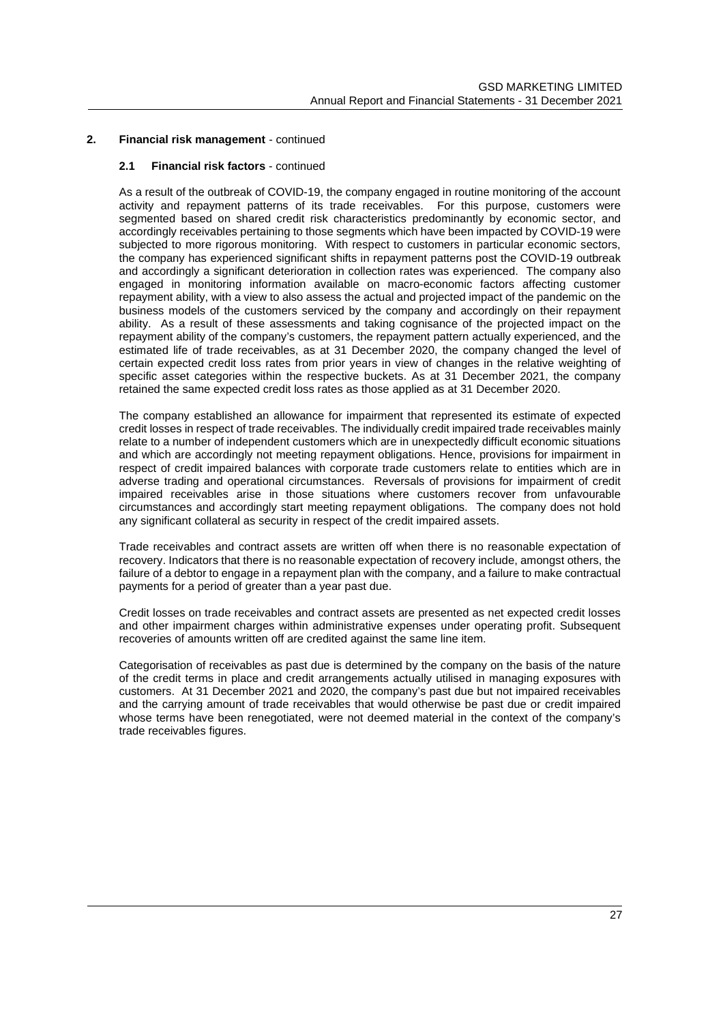#### **2.1 Financial risk factors** - continued

As a result of the outbreak of COVID-19, the company engaged in routine monitoring of the account activity and repayment patterns of its trade receivables. For this purpose, customers were segmented based on shared credit risk characteristics predominantly by economic sector, and accordingly receivables pertaining to those segments which have been impacted by COVID-19 were subjected to more rigorous monitoring. With respect to customers in particular economic sectors, the company has experienced significant shifts in repayment patterns post the COVID-19 outbreak and accordingly a significant deterioration in collection rates was experienced. The company also engaged in monitoring information available on macro-economic factors affecting customer repayment ability, with a view to also assess the actual and projected impact of the pandemic on the business models of the customers serviced by the company and accordingly on their repayment ability. As a result of these assessments and taking cognisance of the projected impact on the repayment ability of the company's customers, the repayment pattern actually experienced, and the estimated life of trade receivables, as at 31 December 2020, the company changed the level of certain expected credit loss rates from prior years in view of changes in the relative weighting of specific asset categories within the respective buckets. As at 31 December 2021, the company retained the same expected credit loss rates as those applied as at 31 December 2020.

The company established an allowance for impairment that represented its estimate of expected credit losses in respect of trade receivables. The individually credit impaired trade receivables mainly relate to a number of independent customers which are in unexpectedly difficult economic situations and which are accordingly not meeting repayment obligations. Hence, provisions for impairment in respect of credit impaired balances with corporate trade customers relate to entities which are in adverse trading and operational circumstances. Reversals of provisions for impairment of credit impaired receivables arise in those situations where customers recover from unfavourable circumstances and accordingly start meeting repayment obligations. The company does not hold any significant collateral as security in respect of the credit impaired assets.

Trade receivables and contract assets are written off when there is no reasonable expectation of recovery. Indicators that there is no reasonable expectation of recovery include, amongst others, the failure of a debtor to engage in a repayment plan with the company, and a failure to make contractual payments for a period of greater than a year past due.

Credit losses on trade receivables and contract assets are presented as net expected credit losses and other impairment charges within administrative expenses under operating profit. Subsequent recoveries of amounts written off are credited against the same line item.

Categorisation of receivables as past due is determined by the company on the basis of the nature of the credit terms in place and credit arrangements actually utilised in managing exposures with customers. At 31 December 2021 and 2020, the company's past due but not impaired receivables and the carrying amount of trade receivables that would otherwise be past due or credit impaired whose terms have been renegotiated, were not deemed material in the context of the company's trade receivables figures.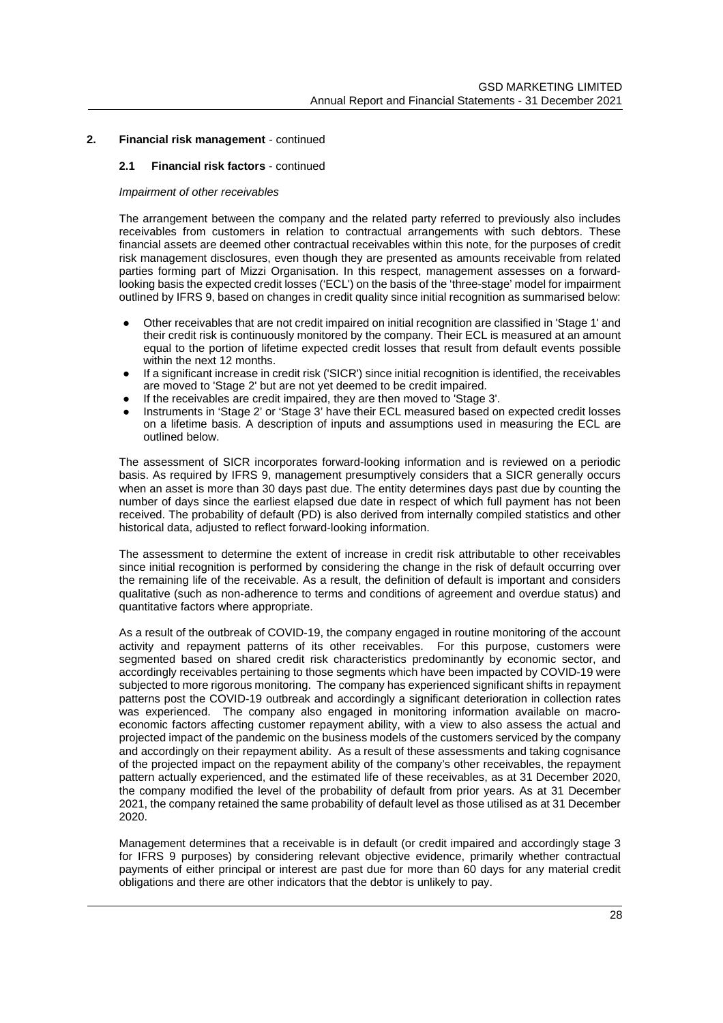#### **2.1 Financial risk factors** - continued

#### *Impairment of other receivables*

The arrangement between the company and the related party referred to previously also includes receivables from customers in relation to contractual arrangements with such debtors. These financial assets are deemed other contractual receivables within this note, for the purposes of credit risk management disclosures, even though they are presented as amounts receivable from related parties forming part of Mizzi Organisation. In this respect, management assesses on a forwardlooking basis the expected credit losses ('ECL') on the basis of the 'three-stage' model for impairment outlined by IFRS 9, based on changes in credit quality since initial recognition as summarised below:

- Other receivables that are not credit impaired on initial recognition are classified in 'Stage 1' and their credit risk is continuously monitored by the company. Their ECL is measured at an amount equal to the portion of lifetime expected credit losses that result from default events possible within the next 12 months.
- If a significant increase in credit risk ('SICR') since initial recognition is identified, the receivables are moved to 'Stage 2' but are not yet deemed to be credit impaired.
- If the receivables are credit impaired, they are then moved to 'Stage 3'.
- Instruments in 'Stage 2' or 'Stage 3' have their ECL measured based on expected credit losses on a lifetime basis. A description of inputs and assumptions used in measuring the ECL are outlined below.

The assessment of SICR incorporates forward-looking information and is reviewed on a periodic basis. As required by IFRS 9, management presumptively considers that a SICR generally occurs when an asset is more than 30 days past due. The entity determines days past due by counting the number of days since the earliest elapsed due date in respect of which full payment has not been received. The probability of default (PD) is also derived from internally compiled statistics and other historical data, adjusted to reflect forward-looking information.

The assessment to determine the extent of increase in credit risk attributable to other receivables since initial recognition is performed by considering the change in the risk of default occurring over the remaining life of the receivable. As a result, the definition of default is important and considers qualitative (such as non-adherence to terms and conditions of agreement and overdue status) and quantitative factors where appropriate.

As a result of the outbreak of COVID-19, the company engaged in routine monitoring of the account activity and repayment patterns of its other receivables. For this purpose, customers were segmented based on shared credit risk characteristics predominantly by economic sector, and accordingly receivables pertaining to those segments which have been impacted by COVID-19 were subjected to more rigorous monitoring. The company has experienced significant shifts in repayment patterns post the COVID-19 outbreak and accordingly a significant deterioration in collection rates was experienced. The company also engaged in monitoring information available on macroeconomic factors affecting customer repayment ability, with a view to also assess the actual and projected impact of the pandemic on the business models of the customers serviced by the company and accordingly on their repayment ability. As a result of these assessments and taking cognisance of the projected impact on the repayment ability of the company's other receivables, the repayment pattern actually experienced, and the estimated life of these receivables, as at 31 December 2020, the company modified the level of the probability of default from prior years. As at 31 December 2021, the company retained the same probability of default level as those utilised as at 31 December 2020.

Management determines that a receivable is in default (or credit impaired and accordingly stage 3 for IFRS 9 purposes) by considering relevant objective evidence, primarily whether contractual payments of either principal or interest are past due for more than 60 days for any material credit obligations and there are other indicators that the debtor is unlikely to pay.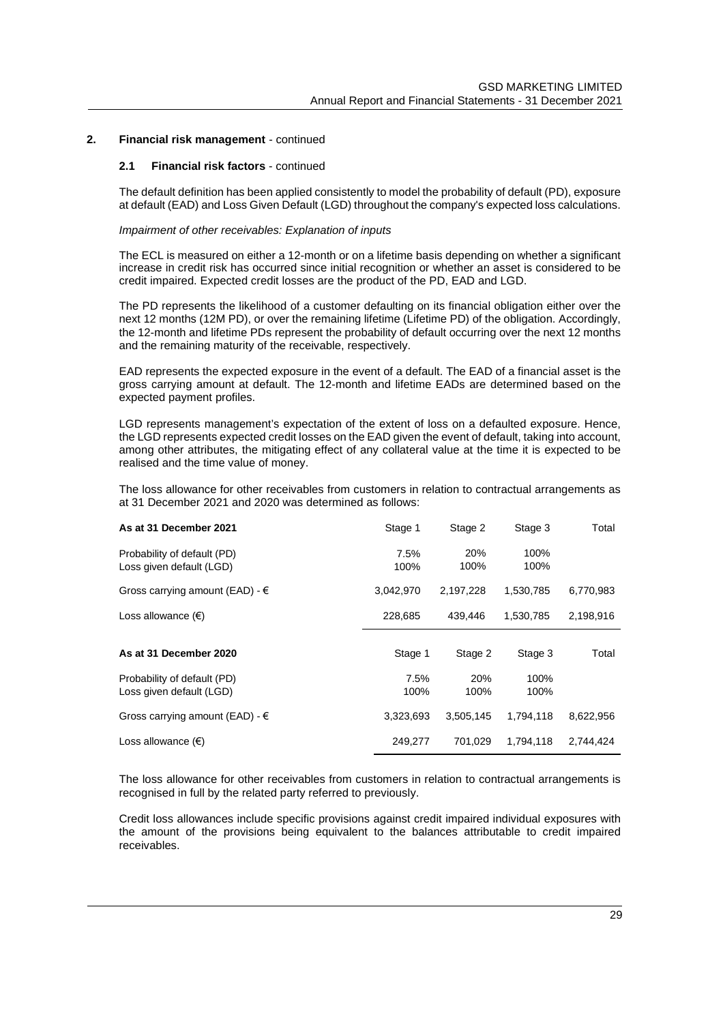#### **2.1 Financial risk factors** - continued

The default definition has been applied consistently to model the probability of default (PD), exposure at default (EAD) and Loss Given Default (LGD) throughout the company's expected loss calculations.

#### *Impairment of other receivables: Explanation of inputs*

The ECL is measured on either a 12-month or on a lifetime basis depending on whether a significant increase in credit risk has occurred since initial recognition or whether an asset is considered to be credit impaired. Expected credit losses are the product of the PD, EAD and LGD.

The PD represents the likelihood of a customer defaulting on its financial obligation either over the next 12 months (12M PD), or over the remaining lifetime (Lifetime PD) of the obligation. Accordingly, the 12-month and lifetime PDs represent the probability of default occurring over the next 12 months and the remaining maturity of the receivable, respectively.

EAD represents the expected exposure in the event of a default. The EAD of a financial asset is the gross carrying amount at default. The 12-month and lifetime EADs are determined based on the expected payment profiles.

LGD represents management's expectation of the extent of loss on a defaulted exposure. Hence, the LGD represents expected credit losses on the EAD given the event of default, taking into account, among other attributes, the mitigating effect of any collateral value at the time it is expected to be realised and the time value of money.

The loss allowance for other receivables from customers in relation to contractual arrangements as at 31 December 2021 and 2020 was determined as follows:

| As at 31 December 2021                                  | Stage 1      | Stage 2     | Stage 3      | Total     |
|---------------------------------------------------------|--------------|-------------|--------------|-----------|
| Probability of default (PD)<br>Loss given default (LGD) | 7.5%<br>100% | 20%<br>100% | 100%<br>100% |           |
| Gross carrying amount (EAD) - €                         | 3,042,970    | 2.197.228   | 1,530,785    | 6,770,983 |
| Loss allowance $(\epsilon)$                             | 228,685      | 439.446     | 1,530,785    | 2,198,916 |
|                                                         |              |             |              |           |
| As at 31 December 2020                                  | Stage 1      | Stage 2     | Stage 3      | Total     |
| Probability of default (PD)                             | 7.5%<br>100% | 20%<br>100% | 100%<br>100% |           |
| Loss given default (LGD)                                |              |             |              |           |
|                                                         |              |             |              |           |
| Gross carrying amount (EAD) - $\epsilon$                | 3,323,693    | 3,505,145   | 1.794.118    | 8,622,956 |

The loss allowance for other receivables from customers in relation to contractual arrangements is recognised in full by the related party referred to previously.

Credit loss allowances include specific provisions against credit impaired individual exposures with the amount of the provisions being equivalent to the balances attributable to credit impaired receivables.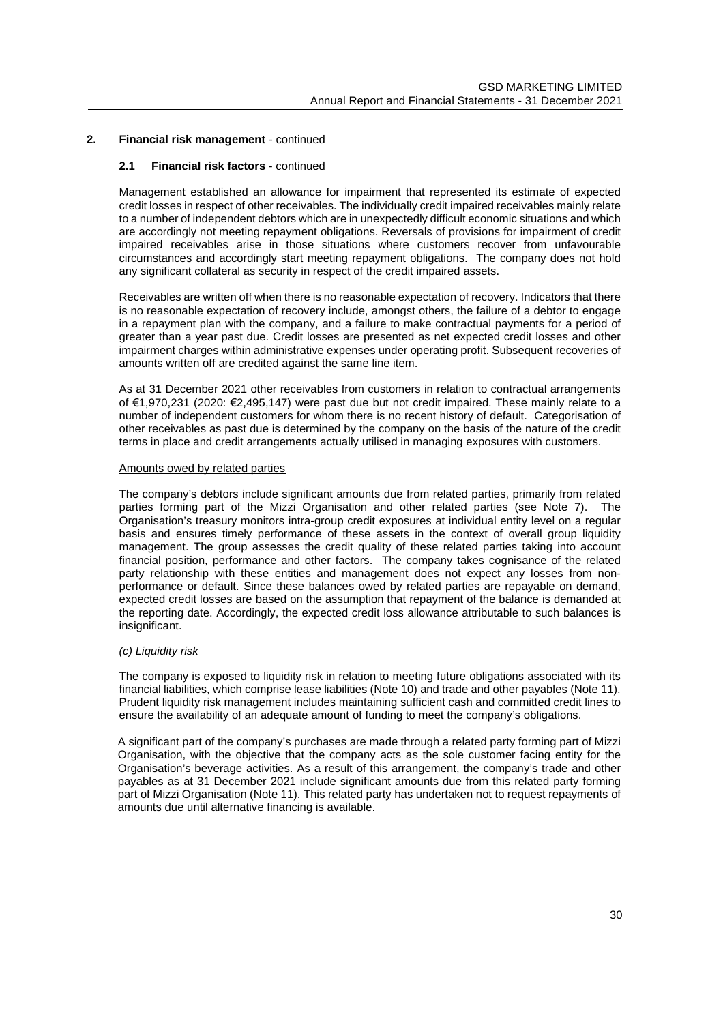#### **2.1 Financial risk factors** - continued

Management established an allowance for impairment that represented its estimate of expected credit losses in respect of other receivables. The individually credit impaired receivables mainly relate to a number of independent debtors which are in unexpectedly difficult economic situations and which are accordingly not meeting repayment obligations. Reversals of provisions for impairment of credit impaired receivables arise in those situations where customers recover from unfavourable circumstances and accordingly start meeting repayment obligations. The company does not hold any significant collateral as security in respect of the credit impaired assets.

Receivables are written off when there is no reasonable expectation of recovery. Indicators that there is no reasonable expectation of recovery include, amongst others, the failure of a debtor to engage in a repayment plan with the company, and a failure to make contractual payments for a period of greater than a year past due. Credit losses are presented as net expected credit losses and other impairment charges within administrative expenses under operating profit. Subsequent recoveries of amounts written off are credited against the same line item.

As at 31 December 2021 other receivables from customers in relation to contractual arrangements of €1,970,231 (2020: €2,495,147) were past due but not credit impaired. These mainly relate to a number of independent customers for whom there is no recent history of default. Categorisation of other receivables as past due is determined by the company on the basis of the nature of the credit terms in place and credit arrangements actually utilised in managing exposures with customers.

#### Amounts owed by related parties

The company's debtors include significant amounts due from related parties, primarily from related parties forming part of the Mizzi Organisation and other related parties (see Note 7). The Organisation's treasury monitors intra-group credit exposures at individual entity level on a regular basis and ensures timely performance of these assets in the context of overall group liquidity management. The group assesses the credit quality of these related parties taking into account financial position, performance and other factors. The company takes cognisance of the related party relationship with these entities and management does not expect any losses from nonperformance or default. Since these balances owed by related parties are repayable on demand, expected credit losses are based on the assumption that repayment of the balance is demanded at the reporting date. Accordingly, the expected credit loss allowance attributable to such balances is insignificant.

#### *(c) Liquidity risk*

The company is exposed to liquidity risk in relation to meeting future obligations associated with its financial liabilities, which comprise lease liabilities (Note 10) and trade and other payables (Note 11). Prudent liquidity risk management includes maintaining sufficient cash and committed credit lines to ensure the availability of an adequate amount of funding to meet the company's obligations.

A significant part of the company's purchases are made through a related party forming part of Mizzi Organisation, with the objective that the company acts as the sole customer facing entity for the Organisation's beverage activities. As a result of this arrangement, the company's trade and other payables as at 31 December 2021 include significant amounts due from this related party forming part of Mizzi Organisation (Note 11). This related party has undertaken not to request repayments of amounts due until alternative financing is available.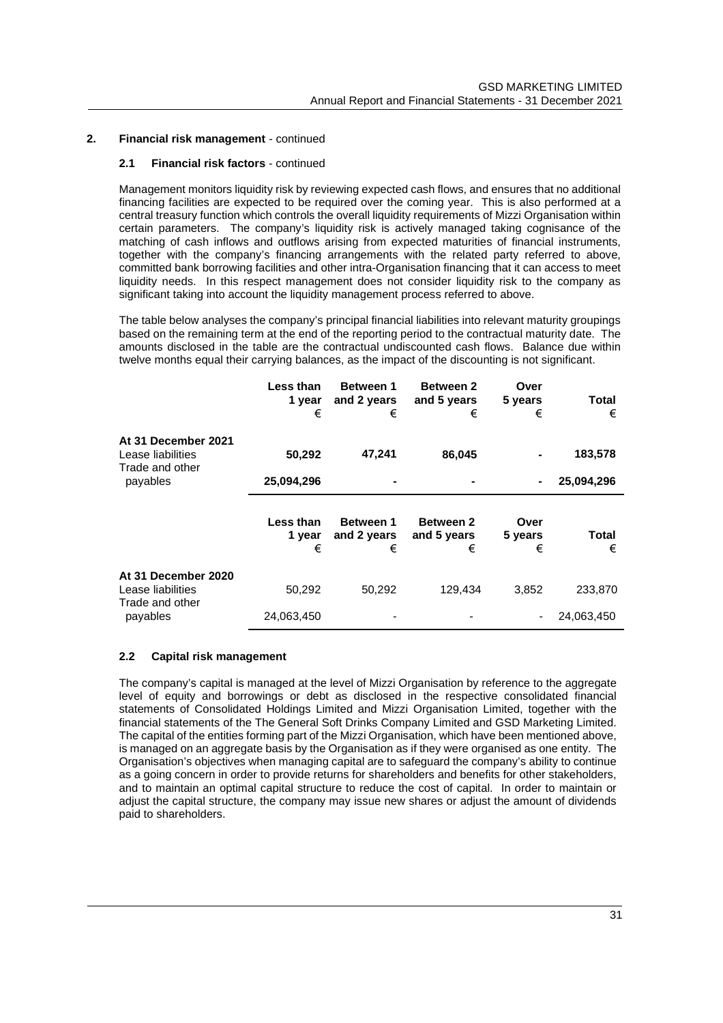## **2.1 Financial risk factors** - continued

Management monitors liquidity risk by reviewing expected cash flows, and ensures that no additional financing facilities are expected to be required over the coming year. This is also performed at a central treasury function which controls the overall liquidity requirements of Mizzi Organisation within certain parameters. The company's liquidity risk is actively managed taking cognisance of the matching of cash inflows and outflows arising from expected maturities of financial instruments, together with the company's financing arrangements with the related party referred to above, committed bank borrowing facilities and other intra-Organisation financing that it can access to meet liquidity needs. In this respect management does not consider liquidity risk to the company as significant taking into account the liquidity management process referred to above.

The table below analyses the company's principal financial liabilities into relevant maturity groupings based on the remaining term at the end of the reporting period to the contractual maturity date. The amounts disclosed in the table are the contractual undiscounted cash flows. Balance due within twelve months equal their carrying balances, as the impact of the discounting is not significant.

|                                                             | Less than<br>1 year<br>€ | <b>Between 1</b><br>and 2 years<br>€ | <b>Between 2</b><br>and 5 years<br>€ | Over<br>5 years<br>€ | Total<br>€ |
|-------------------------------------------------------------|--------------------------|--------------------------------------|--------------------------------------|----------------------|------------|
| At 31 December 2021<br>Lease liabilities<br>Trade and other | 50,292                   | 47,241                               | 86,045                               |                      | 183,578    |
| payables                                                    | 25,094,296               |                                      |                                      | ٠                    | 25,094,296 |
|                                                             | Less than<br>1 year<br>€ | <b>Between 1</b><br>and 2 years<br>€ | <b>Between 2</b><br>and 5 years<br>€ | Over<br>5 years<br>€ | Total<br>€ |
|                                                             |                          |                                      |                                      |                      |            |
| At 31 December 2020<br>Lease liabilities<br>Trade and other | 50,292                   | 50,292                               | 129,434                              | 3,852                | 233,870    |

# **2.2 Capital risk management**

The company's capital is managed at the level of Mizzi Organisation by reference to the aggregate level of equity and borrowings or debt as disclosed in the respective consolidated financial statements of Consolidated Holdings Limited and Mizzi Organisation Limited, together with the financial statements of the The General Soft Drinks Company Limited and GSD Marketing Limited. The capital of the entities forming part of the Mizzi Organisation, which have been mentioned above, is managed on an aggregate basis by the Organisation as if they were organised as one entity. The Organisation's objectives when managing capital are to safeguard the company's ability to continue as a going concern in order to provide returns for shareholders and benefits for other stakeholders, and to maintain an optimal capital structure to reduce the cost of capital. In order to maintain or adjust the capital structure, the company may issue new shares or adjust the amount of dividends paid to shareholders.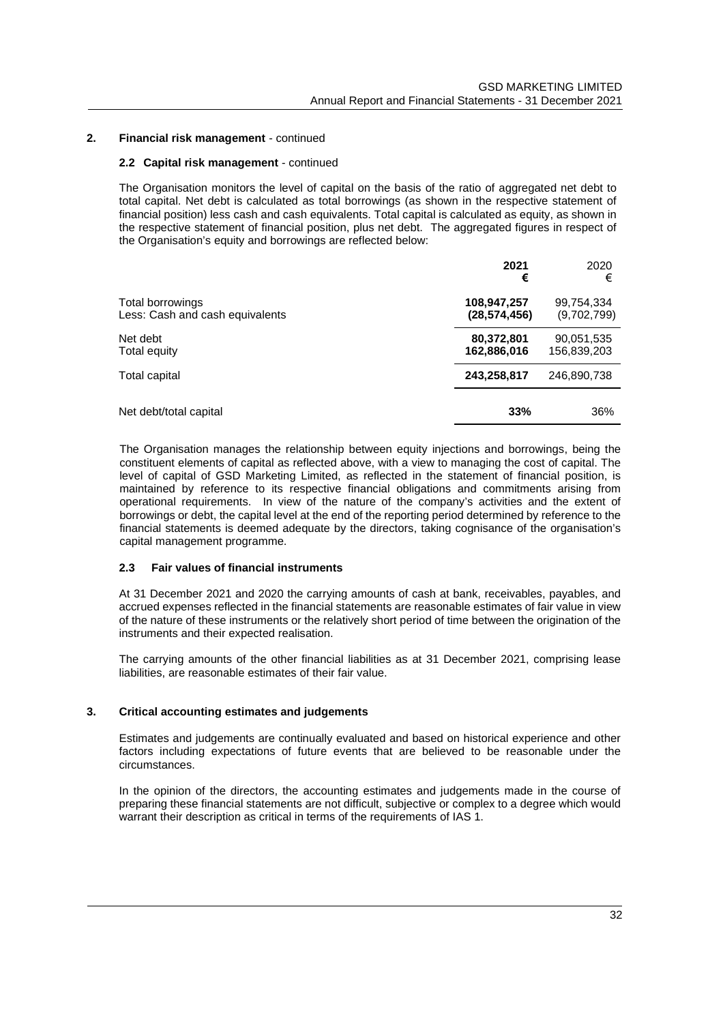#### **2.2 Capital risk management** - continued

The Organisation monitors the level of capital on the basis of the ratio of aggregated net debt to total capital. Net debt is calculated as total borrowings (as shown in the respective statement of financial position) less cash and cash equivalents. Total capital is calculated as equity, as shown in the respective statement of financial position, plus net debt. The aggregated figures in respect of the Organisation's equity and borrowings are reflected below:

|                                                     | 2021<br>€                     | 2020<br>€                 |
|-----------------------------------------------------|-------------------------------|---------------------------|
| Total borrowings<br>Less: Cash and cash equivalents | 108,947,257<br>(28, 574, 456) | 99,754,334<br>(9,702,799) |
| Net debt<br>Total equity                            | 80,372,801<br>162,886,016     | 90,051,535<br>156,839,203 |
| Total capital                                       | 243,258,817                   | 246,890,738               |
| Net debt/total capital                              | 33%                           | 36%                       |

The Organisation manages the relationship between equity injections and borrowings, being the constituent elements of capital as reflected above, with a view to managing the cost of capital. The level of capital of GSD Marketing Limited, as reflected in the statement of financial position, is maintained by reference to its respective financial obligations and commitments arising from operational requirements. In view of the nature of the company's activities and the extent of borrowings or debt, the capital level at the end of the reporting period determined by reference to the financial statements is deemed adequate by the directors, taking cognisance of the organisation's capital management programme.

# **2.3 Fair values of financial instruments**

At 31 December 2021 and 2020 the carrying amounts of cash at bank, receivables, payables, and accrued expenses reflected in the financial statements are reasonable estimates of fair value in view of the nature of these instruments or the relatively short period of time between the origination of the instruments and their expected realisation.

The carrying amounts of the other financial liabilities as at 31 December 2021, comprising lease liabilities, are reasonable estimates of their fair value.

# **3. Critical accounting estimates and judgements**

Estimates and judgements are continually evaluated and based on historical experience and other factors including expectations of future events that are believed to be reasonable under the circumstances.

In the opinion of the directors, the accounting estimates and judgements made in the course of preparing these financial statements are not difficult, subjective or complex to a degree which would warrant their description as critical in terms of the requirements of IAS 1.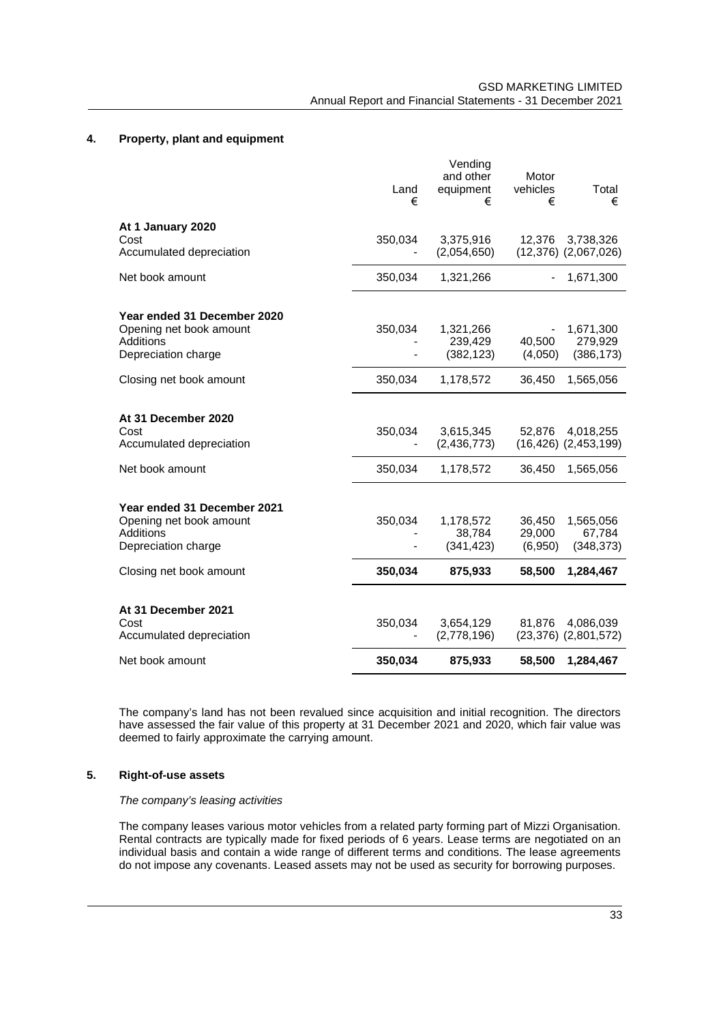# **4. Property, plant and equipment**

|                                                                                                                              | Land<br>€          | Vending<br>and other<br>equipment<br>€       | Motor<br>vehicles<br>Total<br>€<br>€                                                    |
|------------------------------------------------------------------------------------------------------------------------------|--------------------|----------------------------------------------|-----------------------------------------------------------------------------------------|
| At 1 January 2020<br>Cost<br>Accumulated depreciation                                                                        | 350,034            | 3,375,916<br>(2,054,650)                     | 12,376 3,738,326<br>$(12,376)$ $(2,067,026)$                                            |
| Net book amount                                                                                                              | 350,034            | 1,321,266                                    | 1,671,300                                                                               |
| Year ended 31 December 2020<br>Opening net book amount<br>Additions<br>Depreciation charge                                   | 350,034            | 1,321,266<br>239,429<br>(382, 123)           | 1,671,300<br>279,929<br>40,500<br>(4,050)<br>(386, 173)                                 |
| Closing net book amount                                                                                                      | 350,034            | 1,178,572                                    | 36,450<br>1,565,056                                                                     |
| At 31 December 2020<br>Cost<br>Accumulated depreciation<br>Net book amount                                                   | 350,034<br>350,034 | 3,615,345<br>(2,436,773)<br>1,178,572        | 52,876<br>4,018,255<br>$(16, 426)$ $(2, 453, 199)$<br>36,450<br>1,565,056               |
| Year ended 31 December 2021<br>Opening net book amount<br><b>Additions</b><br>Depreciation charge<br>Closing net book amount | 350,034<br>350,034 | 1,178,572<br>38,784<br>(341, 423)<br>875,933 | 36,450<br>1,565,056<br>29,000<br>67,784<br>(6,950)<br>(348, 373)<br>58,500<br>1,284,467 |
|                                                                                                                              |                    |                                              |                                                                                         |
| At 31 December 2021<br>Cost<br>Accumulated depreciation                                                                      | 350,034            | 3,654,129<br>(2,778,196)                     | 81,876<br>4,086,039<br>$(23,376)$ $(2,801,572)$                                         |
| Net book amount                                                                                                              | 350,034            | 875,933                                      | 58,500<br>1,284,467                                                                     |

The company's land has not been revalued since acquisition and initial recognition. The directors have assessed the fair value of this property at 31 December 2021 and 2020, which fair value was deemed to fairly approximate the carrying amount.

# **5. Right-of-use assets**

*The company's leasing activities*

The company leases various motor vehicles from a related party forming part of Mizzi Organisation. Rental contracts are typically made for fixed periods of 6 years. Lease terms are negotiated on an individual basis and contain a wide range of different terms and conditions. The lease agreements do not impose any covenants. Leased assets may not be used as security for borrowing purposes.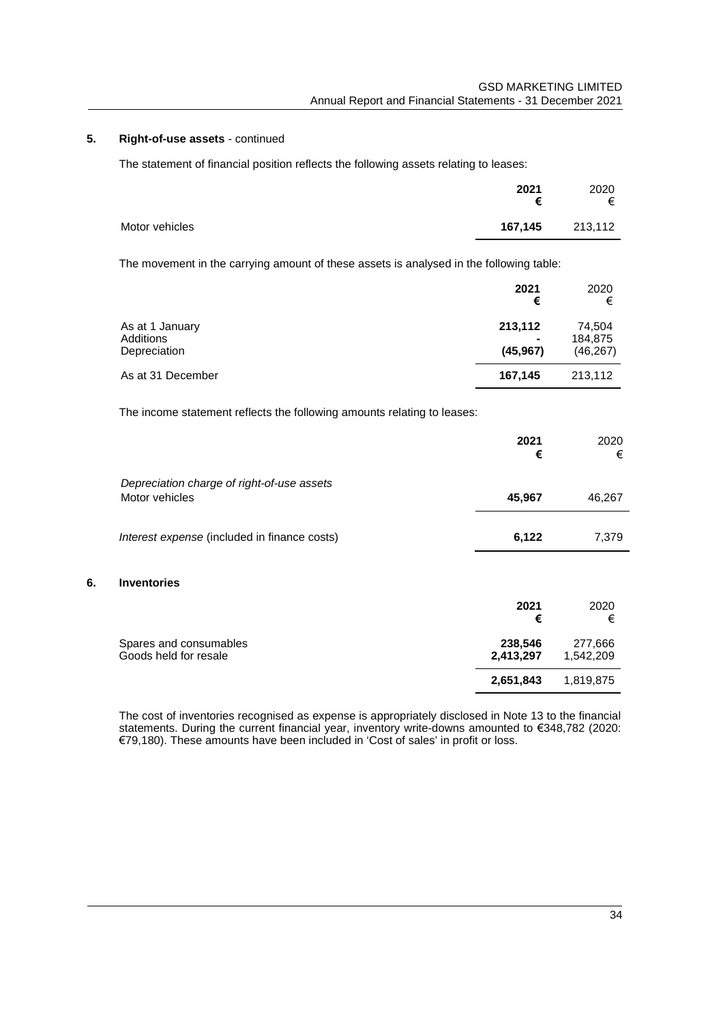# **5. Right-of-use assets** - continued

**6. Inventories**

The statement of financial position reflects the following assets relating to leases:

|                | 2021<br>€ | 2020<br>€ |
|----------------|-----------|-----------|
| Motor vehicles | 167,145   | 213,112   |

The movement in the carrying amount of these assets is analysed in the following table:

|                                              | 2021<br>€                 | 2020<br>€                      |
|----------------------------------------------|---------------------------|--------------------------------|
| As at 1 January<br>Additions<br>Depreciation | 213,112<br>۰<br>(45, 967) | 74.504<br>184,875<br>(46, 267) |
| As at 31 December                            | 167,145                   | 213,112                        |

The income statement reflects the following amounts relating to leases:

|                                                              | 2021<br>€            | 2020<br>€            |
|--------------------------------------------------------------|----------------------|----------------------|
| Depreciation charge of right-of-use assets<br>Motor vehicles | 45,967               | 46,267               |
| Interest expense (included in finance costs)                 | 6,122                | 7,379                |
| <b>Inventories</b>                                           |                      |                      |
|                                                              | 2021<br>€            | 2020<br>€            |
| Spares and consumables<br>Goods held for resale              | 238,546<br>2,413,297 | 277,666<br>1,542,209 |
|                                                              | 2,651,843            | 1,819,875            |

The cost of inventories recognised as expense is appropriately disclosed in Note 13 to the financial statements. During the current financial year, inventory write-downs amounted to €348,782 (2020: €79,180). These amounts have been included in 'Cost of sales' in profit or loss.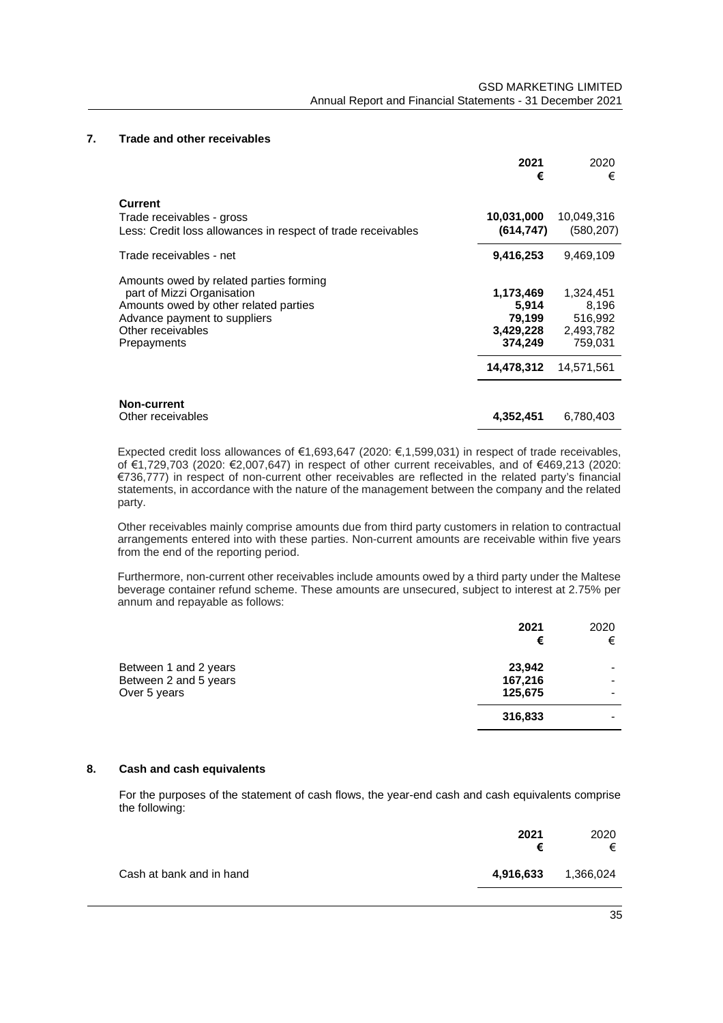## **7. Trade and other receivables**

|                                                                                                                                                                                    | 2021<br>€                                            | 2020<br>€                                             |
|------------------------------------------------------------------------------------------------------------------------------------------------------------------------------------|------------------------------------------------------|-------------------------------------------------------|
| <b>Current</b><br>Trade receivables - gross<br>Less: Credit loss allowances in respect of trade receivables                                                                        | 10,031,000<br>(614, 747)                             | 10,049,316<br>(580, 207)                              |
| Trade receivables - net                                                                                                                                                            | 9,416,253                                            | 9,469,109                                             |
| Amounts owed by related parties forming<br>part of Mizzi Organisation<br>Amounts owed by other related parties<br>Advance payment to suppliers<br>Other receivables<br>Prepayments | 1,173,469<br>5.914<br>79,199<br>3,429,228<br>374,249 | 1,324,451<br>8,196<br>516,992<br>2,493,782<br>759.031 |
|                                                                                                                                                                                    | 14,478,312                                           | 14,571,561                                            |
| <b>Non-current</b><br>Other receivables                                                                                                                                            | 4,352,451                                            | 6,780,403                                             |

Expected credit loss allowances of €1,693,647 (2020: €,1,599,031) in respect of trade receivables, of €1,729,703 (2020: €2,007,647) in respect of other current receivables, and of €469,213 (2020: €736,777) in respect of non-current other receivables are reflected in the related party's financial statements, in accordance with the nature of the management between the company and the related party.

Other receivables mainly comprise amounts due from third party customers in relation to contractual arrangements entered into with these parties. Non-current amounts are receivable within five years from the end of the reporting period.

Furthermore, non-current other receivables include amounts owed by a third party under the Maltese beverage container refund scheme. These amounts are unsecured, subject to interest at 2.75% per annum and repayable as follows:

|                       | 2021<br>€ | 2020<br>€                |
|-----------------------|-----------|--------------------------|
| Between 1 and 2 years | 23,942    | $\,$                     |
| Between 2 and 5 years | 167,216   | $\blacksquare$           |
| Over 5 years          | 125,675   | $\blacksquare$           |
|                       | 316,833   | $\overline{\phantom{0}}$ |
|                       |           |                          |

#### **8. Cash and cash equivalents**

For the purposes of the statement of cash flows, the year-end cash and cash equivalents comprise the following:

|                          | 2021<br>€ | 2020<br>€ |
|--------------------------|-----------|-----------|
| Cash at bank and in hand | 4,916,633 | 1,366,024 |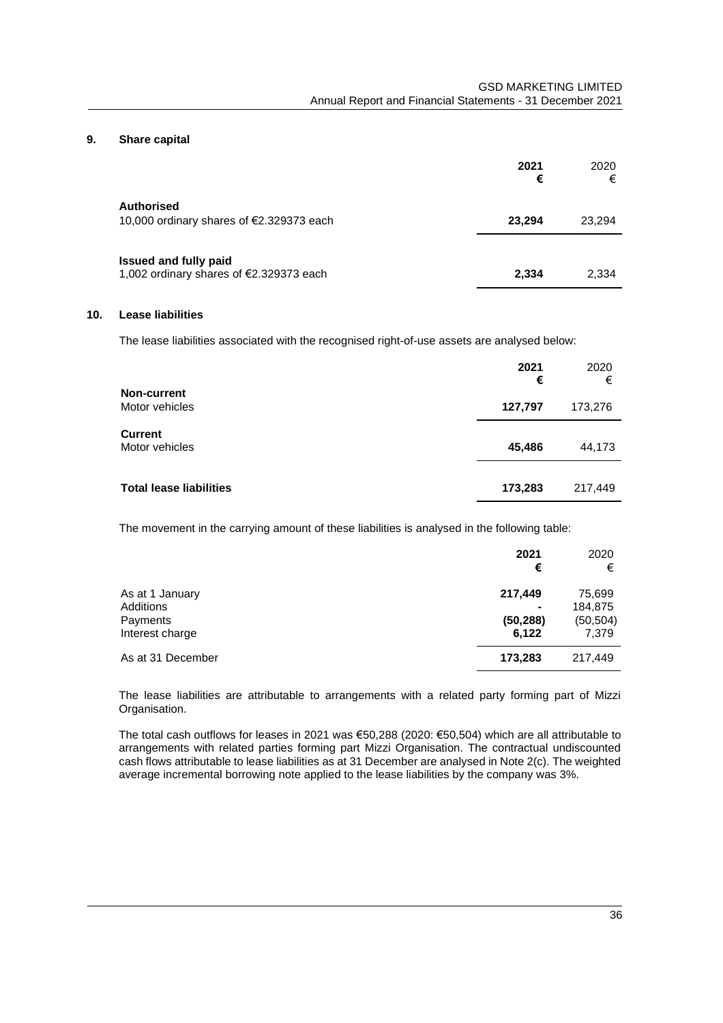# **9. Share capital**

|                                                                         | 2021<br>€ | 2020<br>€ |
|-------------------------------------------------------------------------|-----------|-----------|
| <b>Authorised</b><br>10,000 ordinary shares of €2.329373 each           | 23,294    | 23.294    |
| <b>Issued and fully paid</b><br>1,002 ordinary shares of €2.329373 each | 2,334     | 2,334     |

# **10. Lease liabilities**

The lease liabilities associated with the recognised right-of-use assets are analysed below:

|                                      | 2021<br>€ | 2020<br>€ |
|--------------------------------------|-----------|-----------|
| <b>Non-current</b><br>Motor vehicles | 127,797   | 173,276   |
| <b>Current</b><br>Motor vehicles     | 45,486    | 44,173    |
| <b>Total lease liabilities</b>       | 173,283   | 217,449   |

The movement in the carrying amount of these liabilities is analysed in the following table:

|                                                             | 2021<br>€                     | 2020<br>€                               |
|-------------------------------------------------------------|-------------------------------|-----------------------------------------|
| As at 1 January<br>Additions<br>Payments<br>Interest charge | 217,449<br>(50, 288)<br>6,122 | 75,699<br>184,875<br>(50, 504)<br>7,379 |
| As at 31 December                                           | 173,283                       | 217,449                                 |

The lease liabilities are attributable to arrangements with a related party forming part of Mizzi Organisation.

The total cash outflows for leases in 2021 was €50,288 (2020: €50,504) which are all attributable to arrangements with related parties forming part Mizzi Organisation. The contractual undiscounted cash flows attributable to lease liabilities as at 31 December are analysed in Note 2(c). The weighted average incremental borrowing note applied to the lease liabilities by the company was 3%.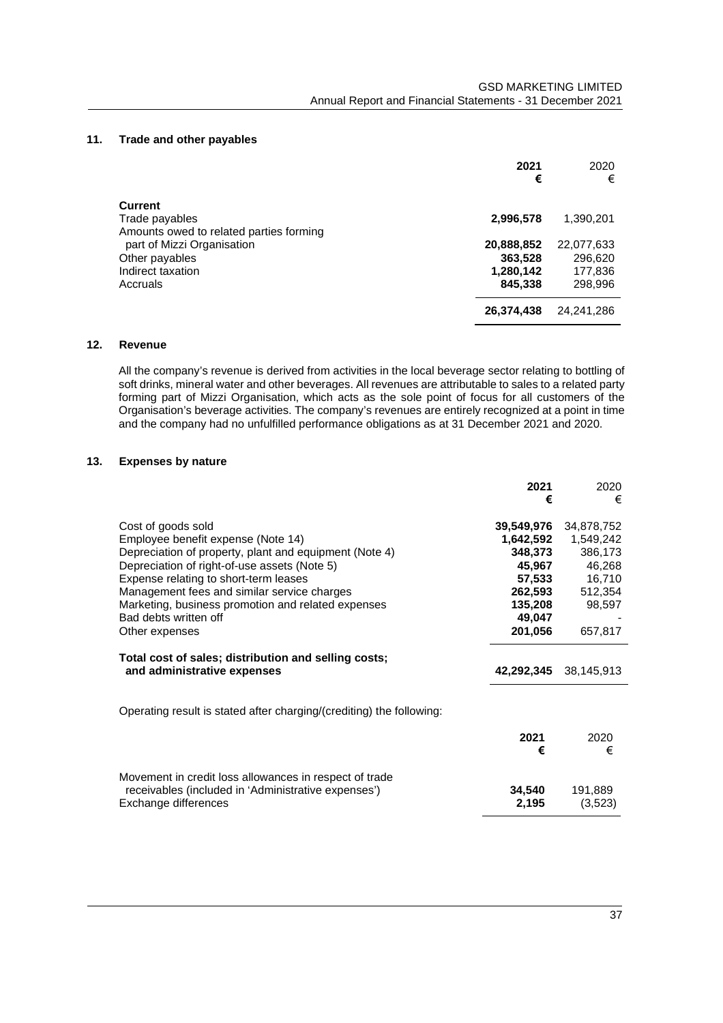# **11. Trade and other payables**

|                                         | 2021<br>€  | 2020<br>€  |
|-----------------------------------------|------------|------------|
| <b>Current</b>                          |            |            |
| Trade payables                          | 2,996,578  | 1,390,201  |
| Amounts owed to related parties forming |            |            |
| part of Mizzi Organisation              | 20,888,852 | 22,077,633 |
| Other payables                          | 363,528    | 296,620    |
| Indirect taxation                       | 1,280,142  | 177,836    |
| Accruals                                | 845,338    | 298,996    |
|                                         | 26,374,438 | 24,241,286 |

#### **12. Revenue**

All the company's revenue is derived from activities in the local beverage sector relating to bottling of soft drinks, mineral water and other beverages. All revenues are attributable to sales to a related party forming part of Mizzi Organisation, which acts as the sole point of focus for all customers of the Organisation's beverage activities. The company's revenues are entirely recognized at a point in time and the company had no unfulfilled performance obligations as at 31 December 2021 and 2020.

# **13. Expenses by nature**

|                                                                                                                                       | 2021<br>€       | 2020<br>€          |
|---------------------------------------------------------------------------------------------------------------------------------------|-----------------|--------------------|
| Cost of goods sold                                                                                                                    | 39,549,976      | 34,878,752         |
| Employee benefit expense (Note 14)                                                                                                    | 1,642,592       | 1,549,242          |
| Depreciation of property, plant and equipment (Note 4)                                                                                | 348,373         | 386,173            |
| Depreciation of right-of-use assets (Note 5)                                                                                          | 45,967          | 46,268             |
| Expense relating to short-term leases                                                                                                 | 57,533          | 16,710             |
| Management fees and similar service charges                                                                                           | 262,593         | 512,354            |
| Marketing, business promotion and related expenses                                                                                    | 135,208         | 98,597             |
| Bad debts written off                                                                                                                 | 49.047          |                    |
| Other expenses                                                                                                                        | 201,056         | 657,817            |
| Total cost of sales; distribution and selling costs;<br>and administrative expenses                                                   | 42,292,345      | 38,145,913         |
| Operating result is stated after charging/(crediting) the following:                                                                  |                 |                    |
|                                                                                                                                       | 2021<br>€       | 2020<br>€          |
| Movement in credit loss allowances in respect of trade<br>receivables (included in 'Administrative expenses')<br>Exchange differences | 34,540<br>2,195 | 191,889<br>(3,523) |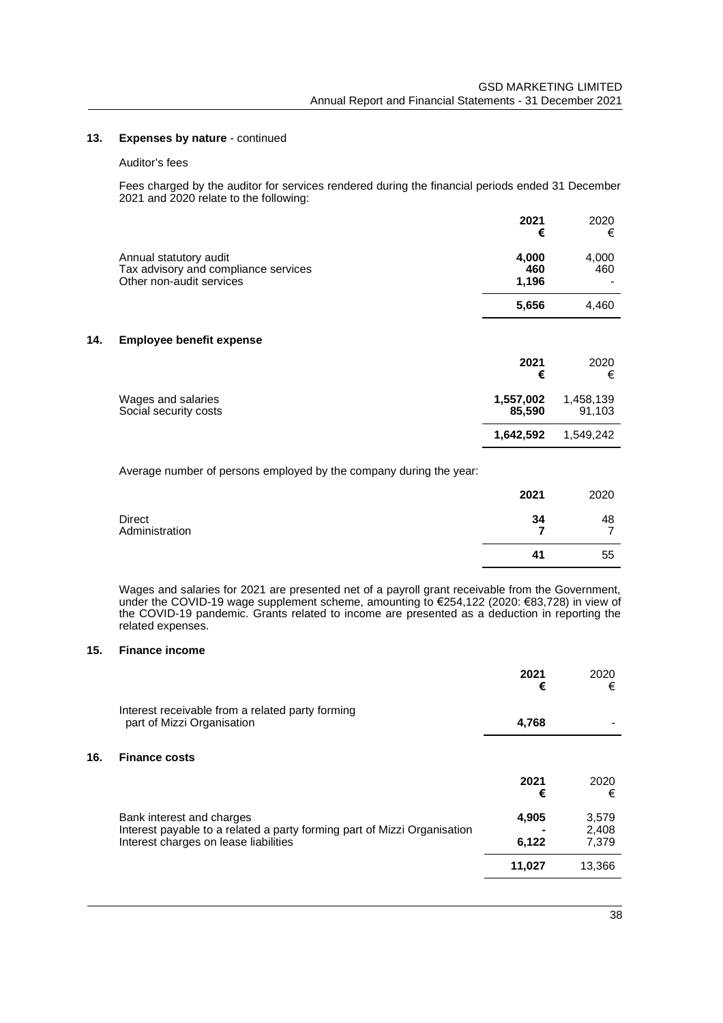# **13.** Expenses by nature - continued

#### Auditor's fees

Fees charged by the auditor for services rendered during the financial periods ended 31 December 2021 and 2020 relate to the following:

|                                                                                            | 2021<br>€             | 2020<br>€    |
|--------------------------------------------------------------------------------------------|-----------------------|--------------|
| Annual statutory audit<br>Tax advisory and compliance services<br>Other non-audit services | 4,000<br>460<br>1.196 | 4,000<br>460 |
|                                                                                            | 5,656                 | 4,460        |
|                                                                                            |                       |              |

# **14. Employee benefit expense**

|                                             | 2021<br>€           | 2020<br>€           |
|---------------------------------------------|---------------------|---------------------|
| Wages and salaries<br>Social security costs | 1,557,002<br>85.590 | 1,458,139<br>91.103 |
|                                             | 1.642.592           | 1.549.242           |

Average number of persons employed by the company during the year:

|                          | 2021 | 2020 |
|--------------------------|------|------|
| Direct<br>Administration | 34   | 48   |
|                          | -41  | 55   |

Wages and salaries for 2021 are presented net of a payroll grant receivable from the Government, under the COVID-19 wage supplement scheme, amounting to €254,122 (2020: €83,728) in view of the COVID-19 pandemic. Grants related to income are presented as a deduction in reporting the related expenses.

# **15. Finance income**

**16.** 

|                                                                                                                                                | 2021<br>€      | 2020<br>€               |
|------------------------------------------------------------------------------------------------------------------------------------------------|----------------|-------------------------|
| Interest receivable from a related party forming<br>part of Mizzi Organisation                                                                 | 4,768          |                         |
| <b>Finance costs</b>                                                                                                                           |                |                         |
|                                                                                                                                                | 2021<br>€      | 2020<br>€               |
| Bank interest and charges<br>Interest payable to a related a party forming part of Mizzi Organisation<br>Interest charges on lease liabilities | 4,905<br>6,122 | 3,579<br>2,408<br>7,379 |
|                                                                                                                                                | 11,027         | 13,366                  |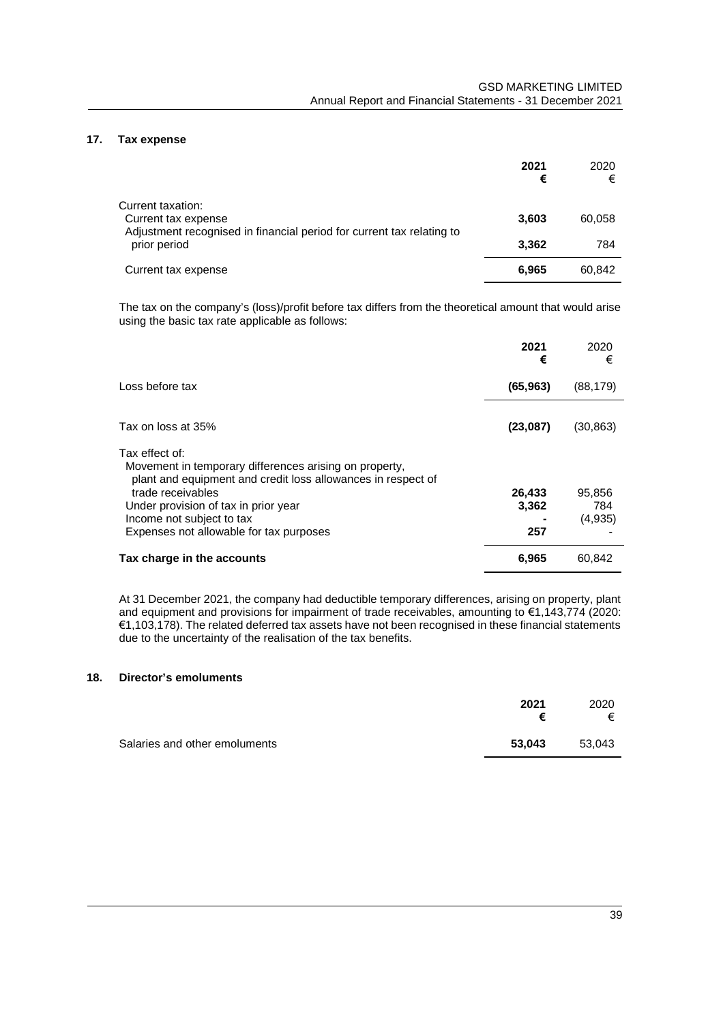# **17. Tax expense**

|                                                                                                                   | 2021<br>€ | 2020<br>€ |
|-------------------------------------------------------------------------------------------------------------------|-----------|-----------|
| Current taxation:<br>Current tax expense<br>Adjustment recognised in financial period for current tax relating to | 3,603     | 60,058    |
| prior period                                                                                                      | 3,362     | 784       |
| Current tax expense                                                                                               | 6.965     | 60.842    |

The tax on the company's (loss)/profit before tax differs from the theoretical amount that would arise using the basic tax rate applicable as follows:

|                                                                                                                                                               | 2021<br>€    | 2020<br>€      |
|---------------------------------------------------------------------------------------------------------------------------------------------------------------|--------------|----------------|
| Loss before tax                                                                                                                                               | (65, 963)    | (88, 179)      |
| Tax on loss at 35%                                                                                                                                            | (23,087)     | (30, 863)      |
| Tax effect of:<br>Movement in temporary differences arising on property,<br>plant and equipment and credit loss allowances in respect of<br>trade receivables | 26,433       | 95,856         |
| Under provision of tax in prior year<br>Income not subject to tax<br>Expenses not allowable for tax purposes                                                  | 3,362<br>257 | 784<br>(4,935) |
| Tax charge in the accounts                                                                                                                                    | 6,965        | 60.842         |

At 31 December 2021, the company had deductible temporary differences, arising on property, plant and equipment and provisions for impairment of trade receivables, amounting to €1,143,774 (2020: €1,103,178). The related deferred tax assets have not been recognised in these financial statements due to the uncertainty of the realisation of the tax benefits.

## **18. Director's emoluments**

|                               | 2021   | 2020<br>€ |
|-------------------------------|--------|-----------|
| Salaries and other emoluments | 53,043 | 53.043    |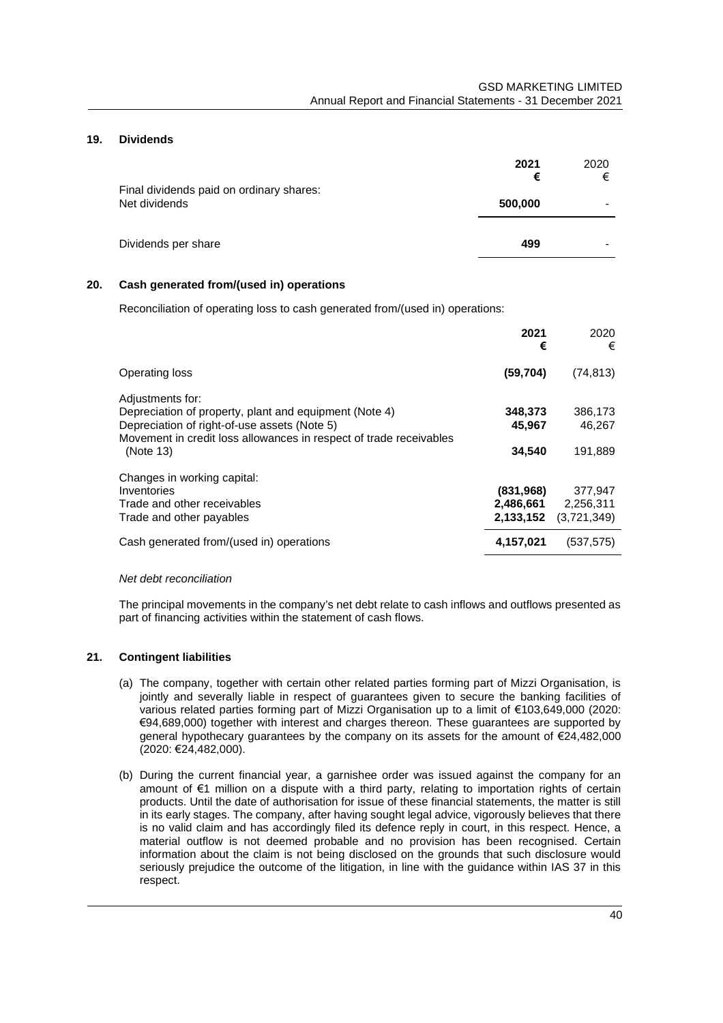# **19. Dividends**

|                                                           | 2021<br>€ | 2020<br>€                |
|-----------------------------------------------------------|-----------|--------------------------|
| Final dividends paid on ordinary shares:<br>Net dividends | 500,000   |                          |
| Dividends per share                                       | 499       | $\overline{\phantom{0}}$ |

# **20. Cash generated from/(used in) operations**

Reconciliation of operating loss to cash generated from/(used in) operations:

|                                                                    | 2021<br>€  | 2020<br>€   |
|--------------------------------------------------------------------|------------|-------------|
| Operating loss                                                     | (59, 704)  | (74, 813)   |
| Adjustments for:                                                   |            |             |
| Depreciation of property, plant and equipment (Note 4)             | 348,373    | 386,173     |
| Depreciation of right-of-use assets (Note 5)                       | 45.967     | 46.267      |
| Movement in credit loss allowances in respect of trade receivables |            |             |
| (Note 13)                                                          | 34.540     | 191,889     |
| Changes in working capital:                                        |            |             |
| Inventories                                                        | (831, 968) | 377.947     |
| Trade and other receivables                                        | 2,486,661  | 2,256,311   |
| Trade and other payables                                           | 2,133,152  | (3,721,349) |
| Cash generated from/(used in) operations                           | 4,157,021  | (537, 575)  |

# *Net debt reconciliation*

The principal movements in the company's net debt relate to cash inflows and outflows presented as part of financing activities within the statement of cash flows.

#### **21. Contingent liabilities**

- (a) The company, together with certain other related parties forming part of Mizzi Organisation, is jointly and severally liable in respect of guarantees given to secure the banking facilities of various related parties forming part of Mizzi Organisation up to a limit of €103,649,000 (2020: €94,689,000) together with interest and charges thereon. These guarantees are supported by general hypothecary guarantees by the company on its assets for the amount of €24,482,000 (2020: €24,482,000).
- (b) During the current financial year, a garnishee order was issued against the company for an amount of €1 million on a dispute with a third party, relating to importation rights of certain products. Until the date of authorisation for issue of these financial statements, the matter is still in its early stages. The company, after having sought legal advice, vigorously believes that there is no valid claim and has accordingly filed its defence reply in court, in this respect. Hence, a material outflow is not deemed probable and no provision has been recognised. Certain information about the claim is not being disclosed on the grounds that such disclosure would seriously prejudice the outcome of the litigation, in line with the guidance within IAS 37 in this respect.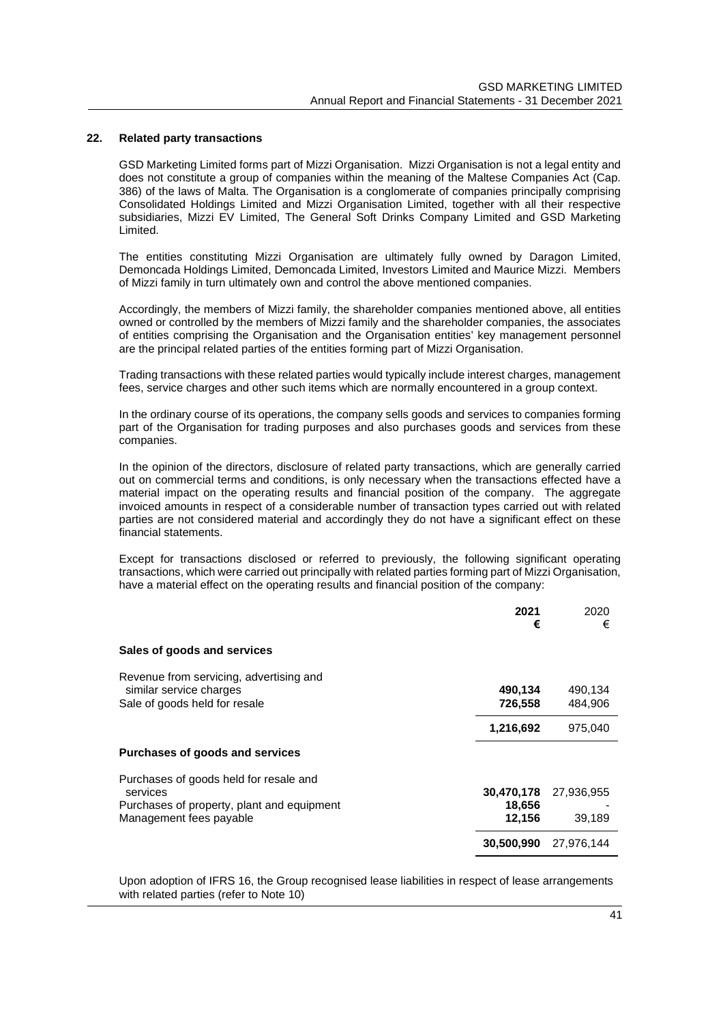# **22. Related party transactions**

GSD Marketing Limited forms part of Mizzi Organisation. Mizzi Organisation is not a legal entity and does not constitute a group of companies within the meaning of the Maltese Companies Act (Cap. 386) of the laws of Malta. The Organisation is a conglomerate of companies principally comprising Consolidated Holdings Limited and Mizzi Organisation Limited, together with all their respective subsidiaries, Mizzi EV Limited, The General Soft Drinks Company Limited and GSD Marketing Limited.

The entities constituting Mizzi Organisation are ultimately fully owned by Daragon Limited, Demoncada Holdings Limited, Demoncada Limited, Investors Limited and Maurice Mizzi. Members of Mizzi family in turn ultimately own and control the above mentioned companies.

Accordingly, the members of Mizzi family, the shareholder companies mentioned above, all entities owned or controlled by the members of Mizzi family and the shareholder companies, the associates of entities comprising the Organisation and the Organisation entities' key management personnel are the principal related parties of the entities forming part of Mizzi Organisation.

Trading transactions with these related parties would typically include interest charges, management fees, service charges and other such items which are normally encountered in a group context.

In the ordinary course of its operations, the company sells goods and services to companies forming part of the Organisation for trading purposes and also purchases goods and services from these companies.

In the opinion of the directors, disclosure of related party transactions, which are generally carried out on commercial terms and conditions, is only necessary when the transactions effected have a material impact on the operating results and financial position of the company. The aggregate invoiced amounts in respect of a considerable number of transaction types carried out with related parties are not considered material and accordingly they do not have a significant effect on these financial statements.

Except for transactions disclosed or referred to previously, the following significant operating transactions, which were carried out principally with related parties forming part of Mizzi Organisation, have a material effect on the operating results and financial position of the company:

|                                                                                                                             | 2021<br>€                      | 2020<br>€            |
|-----------------------------------------------------------------------------------------------------------------------------|--------------------------------|----------------------|
| Sales of goods and services                                                                                                 |                                |                      |
| Revenue from servicing, advertising and<br>similar service charges<br>Sale of goods held for resale                         | 490,134<br>726,558             | 490,134<br>484,906   |
|                                                                                                                             | 1,216,692                      | 975,040              |
| Purchases of goods and services                                                                                             |                                |                      |
| Purchases of goods held for resale and<br>services<br>Purchases of property, plant and equipment<br>Management fees payable | 30,470,178<br>18,656<br>12,156 | 27.936.955<br>39,189 |
|                                                                                                                             | 30,500,990                     | 27.976.144           |

Upon adoption of IFRS 16, the Group recognised lease liabilities in respect of lease arrangements with related parties (refer to Note 10)